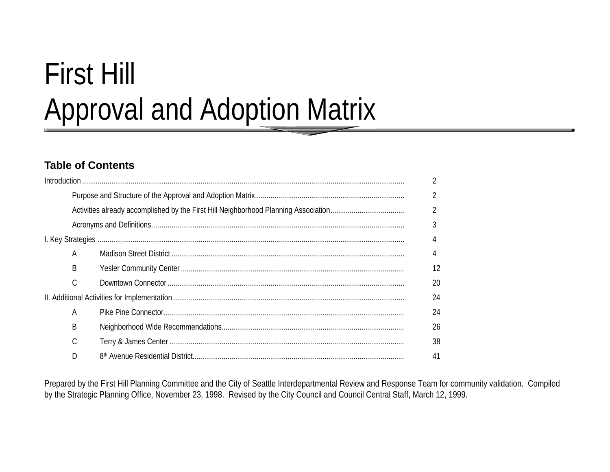# First Hill Approval and Adoption Matrix

# **Table of Contents**

|   | $\overline{2}$ |
|---|----------------|
|   | $\overline{2}$ |
|   | 3              |
|   |                |
| A | 4              |
| B | 12             |
| C | 20             |
|   | 24             |
| A | 24             |
| B | 26             |
|   | 38             |
| D | 41             |

Prepared by the First Hill Planning Committee and the City of Seattle Interdepartmental Review and Response Team for community validation. Compiled by the Strategic Planning Office, November 23, 1998. Revised by the City Council and Council Central Staff, March 12, 1999.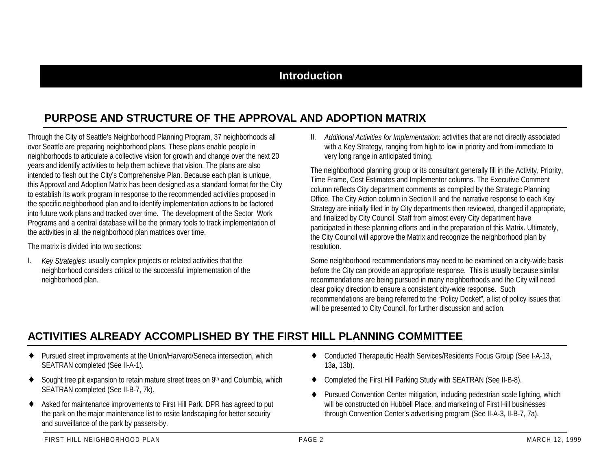## **Introduction**

# **PURPOSE AND STRUCTURE OF THE APPROVAL AND ADOPTION MATRIX**

Through the City of Seattle's Neighborhood Planning Program, 37 neighborhoods all over Seattle are preparing neighborhood plans. These plans enable people in neighborhoods to articulate a collective vision for growth and change over the next 20 years and identify activities to help them achieve that vision. The plans are also intended to flesh out the City's Comprehensive Plan. Because each plan is unique, this Approval and Adoption Matrix has been designed as a standard format for the City to establish its work program in response to the recommended activities proposed in the specific neighborhood plan and to identify implementation actions to be factored into future work plans and tracked over time. The development of the Sector Work Programs and a central database will be the primary tools to track implementation of the activities in all the neighborhood plan matrices over time.

The matrix is divided into two sections:

I. *Key Strategies*: usually complex projects or related activities that the neighborhood considers critical to the successful implementation of the neighborhood plan.

II. *Additional Activities for Implementation:* activities that are not directly associated with a Key Strategy, ranging from high to low in priority and from immediate to very long range in anticipated timing.

The neighborhood planning group or its consultant generally fill in the Activity, Priority, Time Frame, Cost Estimates and Implementor columns. The Executive Comment column reflects City department comments as compiled by the Strategic Planning Office. The City Action column in Section II and the narrative response to each Key Strategy are initially filed in by City departments then reviewed, changed if appropriate, and finalized by City Council. Staff from almost every City department have participated in these planning efforts and in the preparation of this Matrix. Ultimately, the City Council will approve the Matrix and recognize the neighborhood plan by resolution.

Some neighborhood recommendations may need to be examined on a city-wide basis before the City can provide an appropriate response. This is usually because similar recommendations are being pursued in many neighborhoods and the City will need clear policy direction to ensure a consistent city-wide response. Such recommendations are being referred to the "Policy Docket", a list of policy issues that will be presented to City Council, for further discussion and action.

# **ACTIVITIES ALREADY ACCOMPLISHED BY THE FIRST HILL PLANNING COMMITTEE**

- ♦ Pursued street improvements at the Union/Harvard/Seneca intersection, which SEATRAN completed (See II-A-1).
- ♦Sought tree pit expansion to retain mature street trees on 9<sup>th</sup> and Columbia, which SEATRAN completed (See II-B-7, 7k).
- ♦ Asked for maintenance improvements to First Hill Park. DPR has agreed to put the park on the major maintenance list to resite landscaping for better security and surveillance of the park by passers-by.
- ♦ Conducted Therapeutic Health Services/Residents Focus Group (See I-A-13, 13a, 13b).
- ♦Completed the First Hill Parking Study with SEATRAN (See II-B-8).
- ♦ Pursued Convention Center mitigation, including pedestrian scale lighting, which will be constructed on Hubbell Place, and marketing of First Hill businesses through Convention Center's advertising program (See II-A-3, II-B-7, 7a).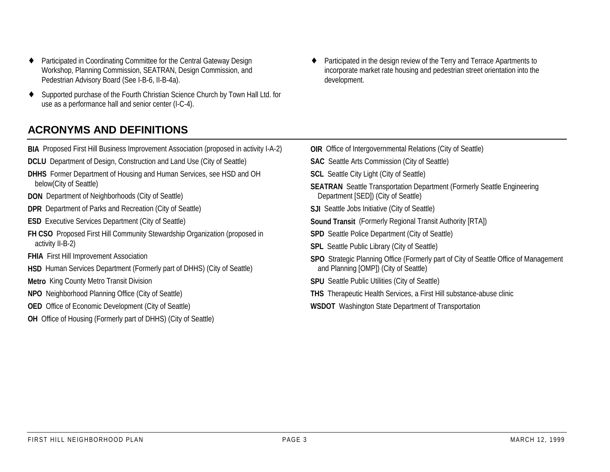- ♦ Participated in Coordinating Committee for the Central Gateway Design Workshop, Planning Commission, SEATRAN, Design Commission, and Pedestrian Advisory Board (See I-B-6, II-B-4a).
- ♦ Supported purchase of the Fourth Christian Science Church by Town Hall Ltd. for use as a performance hall and senior center (I-C-4).
- ♦ Participated in the design review of the Terry and Terrace Apartments to incorporate market rate housing and pedestrian street orientation into the development.

# **ACRONYMS AND DEFINITIONS**

**BIA** Proposed First Hill Business Improvement Association (proposed in activity I-A-2) **DCLU** Department of Design, Construction and Land Use (City of Seattle) **DHHS** Former Department of Housing and Human Services, see HSD and OH below(City of Seattle) **DON** Department of Neighborhoods (City of Seattle) **DPR** Department of Parks and Recreation (City of Seattle) **ESD** Executive Services Department (City of Seattle) **FH CSO** Proposed First Hill Community Stewardship Organization (proposed in activity II-B-2) **FHIA** First Hill Improvement Association **HSD** Human Services Department (Formerly part of DHHS) (City of Seattle) **Metro** King County Metro Transit Division **NPO** Neighborhood Planning Office (City of Seattle) **OED** Office of Economic Development (City of Seattle) **OH** Office of Housing (Formerly part of DHHS) (City of Seattle) **OIR** Office of Intergovernmental Relations (City of Seattle) **SAC** Seattle Arts Commission (City of Seattle) **SCL** Seattle City Light (City of Seattle) **SEATRAN** Seattle Transportation Department (Formerly Seattle Engineering Department [SED]) (City of Seattle) **SJI** Seattle Jobs Initiative (City of Seattle) **Sound Transit** (Formerly Regional Transit Authority [RTA]) **SPD** Seattle Police Department (City of Seattle) **SPL** Seattle Public Library (City of Seattle) **SPO** Strategic Planning Office (Formerly part of City of Seattle Office of Management and Planning [OMP]) (City of Seattle) **SPU** Seattle Public Utilities (City of Seattle) **THS** Therapeutic Health Services, a First Hill substance-abuse clinic **WSDOT** Washington State Department of Transportation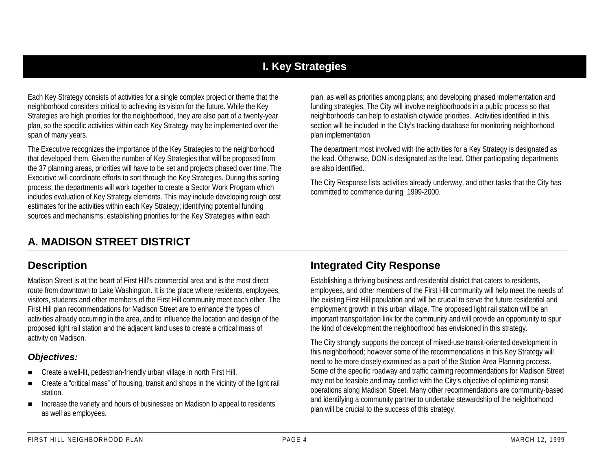# **I. Key Strategies**

Each Key Strategy consists of activities for a single complex project or theme that the neighborhood considers critical to achieving its vision for the future. While the Key Strategies are high priorities for the neighborhood, they are also part of a twenty-year plan, so the specific activities within each Key Strategy may be implemented over the span of many years.

The Executive recognizes the importance of the Key Strategies to the neighborhood that developed them. Given the number of Key Strategies that will be proposed from the 37 planning areas, priorities will have to be set and projects phased over time. The Executive will coordinate efforts to sort through the Key Strategies. During this sorting process, the departments will work together to create a Sector Work Program which includes evaluation of Key Strategy elements. This may include developing rough cost estimates for the activities within each Key Strategy; identifying potential funding sources and mechanisms; establishing priorities for the Key Strategies within each

plan, as well as priorities among plans; and developing phased implementation and funding strategies. The City will involve neighborhoods in a public process so that neighborhoods can help to establish citywide priorities. Activities identified in this section will be included in the City's tracking database for monitoring neighborhood plan implementation.

The department most involved with the activities for a Key Strategy is designated as the lead. Otherwise, DON is designated as the lead. Other participating departments are also identified.

The City Response lists activities already underway, and other tasks that the City has committed to commence during 1999-2000.

# **A. MADISON STREET DISTRICT**

## **Description**

Madison Street is at the heart of First Hill's commercial area and is the most directroute from downtown to Lake Washington. It is the place where residents, employees, visitors, students and other members of the First Hill community meet each other. The First Hill plan recommendations for Madison Street are to enhance the types of activities already occurring in the area, and to influence the location and design of the proposed light rail station and the adjacent land uses to create a critical mass of activity on Madison.

## *Objectives:*

- !Create a well-lit, pedestrian-friendly urban village in north First Hill.
- **.**  Create a "critical mass" of housing, transit and shops in the vicinity of the light rail station.
- **.**  Increase the variety and hours of businesses on Madison to appeal to residents as well as employees.

# **Integrated City Response**

Establishing a thriving business and residential district that caters to residents, employees, and other members of the First Hill community will help meet the needs of the existing First Hill population and will be crucial to serve the future residential and employment growth in this urban village. The proposed light rail station will be an important transportation link for the community and will provide an opportunity to spur the kind of development the neighborhood has envisioned in this strategy.

The City strongly supports the concept of mixed-use transit-oriented development in this neighborhood; however some of the recommendations in this Key Strategy will need to be more closely examined as a part of the Station Area Planning process. Some of the specific roadway and traffic calming recommendations for Madison Street may not be feasible and may conflict with the City's objective of optimizing transit operations along Madison Street. Many other recommendations are community-based and identifying a community partner to undertake stewardship of the neighborhood plan will be crucial to the success of this strategy.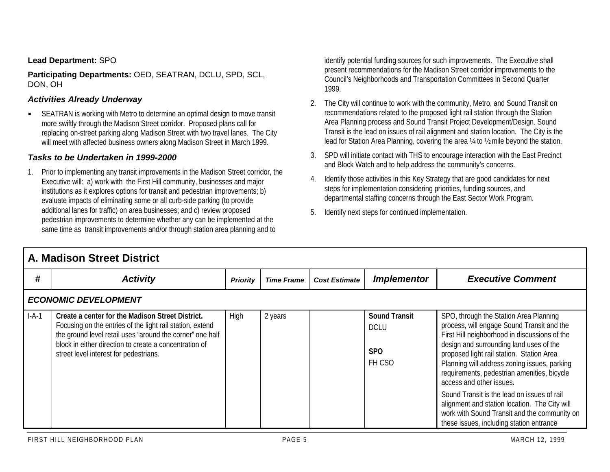#### **Lead Department:** SPO

**Participating Departments:** OED, SEATRAN, DCLU, SPD, SCL, DON, OH

#### *Activities Already Underway*

" SEATRAN is working with Metro to determine an optimal design to move transit more swiftly through the Madison Street corridor. Proposed plans call for replacing on-street parking along Madison Street with two travel lanes. The City will meet with affected business owners along Madison Street in March 1999.

#### *Tasks to be Undertaken in 1999-2000*

1. Prior to implementing any transit improvements in the Madison Street corridor, the Executive will: a) work with the First Hill community, businesses and major institutions as it explores options for transit and pedestrian improvements; b) evaluate impacts of eliminating some or all curb-side parking (to provide additional lanes for traffic) on area businesses; and c) review proposed pedestrian improvements to determine whether any can be implemented at the same time as transit improvements and/or through station area planning and to

identify potential funding sources for such improvements. The Executive shall present recommendations for the Madison Street corridor improvements to the Council's Neighborhoods and Transportation Committees in Second Quarter 1999.

- 2. The City will continue to work with the community, Metro, and Sound Transit on recommendations related to the proposed light rail station through the Station Area Planning process and Sound Transit Project Development/Design. Sound Transit is the lead on issues of rail alignment and station location. The City is the lead for Station Area Planning, covering the area ¼ to ½ mile beyond the station.
- 3. SPD will initiate contact with THS to encourage interaction with the East Precinct and Block Watch and to help address the community's concerns.
- 4. Identify those activities in this Key Strategy that are good candidates for next steps for implementation considering priorities, funding sources, and departmental staffing concerns through the East Sector Work Program.
- 5. Identify next steps for continued implementation.

|                             | <b>A. Madison Street District</b>                                                                                                                                                                                                                                              |                 |                   |                      |                                                             |                                                                                                                                                                                                                                                                                                                                                                                                                                                                                                                                                      |  |  |  |
|-----------------------------|--------------------------------------------------------------------------------------------------------------------------------------------------------------------------------------------------------------------------------------------------------------------------------|-----------------|-------------------|----------------------|-------------------------------------------------------------|------------------------------------------------------------------------------------------------------------------------------------------------------------------------------------------------------------------------------------------------------------------------------------------------------------------------------------------------------------------------------------------------------------------------------------------------------------------------------------------------------------------------------------------------------|--|--|--|
| #                           | <b>Activity</b>                                                                                                                                                                                                                                                                | <b>Priority</b> | <b>Time Frame</b> | <b>Cost Estimate</b> | <b>Implementor</b>                                          | <b>Executive Comment</b>                                                                                                                                                                                                                                                                                                                                                                                                                                                                                                                             |  |  |  |
| <b>ECONOMIC DEVELOPMENT</b> |                                                                                                                                                                                                                                                                                |                 |                   |                      |                                                             |                                                                                                                                                                                                                                                                                                                                                                                                                                                                                                                                                      |  |  |  |
| $I-A-1$                     | Create a center for the Madison Street District.<br>Focusing on the entries of the light rail station, extend<br>the ground level retail uses "around the corner" one half<br>block in either direction to create a concentration of<br>street level interest for pedestrians. | High            | 2 years           |                      | <b>Sound Transit</b><br><b>DCLU</b><br><b>SPO</b><br>FH CSO | SPO, through the Station Area Planning<br>process, will engage Sound Transit and the<br>First Hill neighborhood in discussions of the<br>design and surrounding land uses of the<br>proposed light rail station. Station Area<br>Planning will address zoning issues, parking<br>requirements, pedestrian amenities, bicycle<br>access and other issues.<br>Sound Transit is the lead on issues of rail<br>alignment and station location. The City will<br>work with Sound Transit and the community on<br>these issues, including station entrance |  |  |  |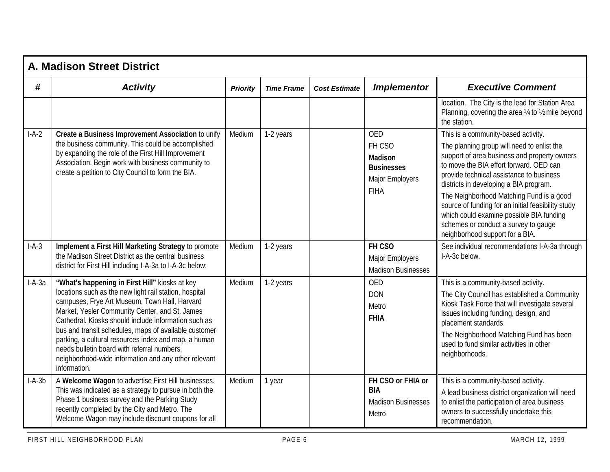|          | <b>A. Madison Street District</b>                                                                                                                                                                                                                                                                                                                                                                                                                                                                           |                 |                   |                      |                                                                                                      |                                                                                                                                                                                                                                                                                                                                                                                                                                                                                             |  |  |  |
|----------|-------------------------------------------------------------------------------------------------------------------------------------------------------------------------------------------------------------------------------------------------------------------------------------------------------------------------------------------------------------------------------------------------------------------------------------------------------------------------------------------------------------|-----------------|-------------------|----------------------|------------------------------------------------------------------------------------------------------|---------------------------------------------------------------------------------------------------------------------------------------------------------------------------------------------------------------------------------------------------------------------------------------------------------------------------------------------------------------------------------------------------------------------------------------------------------------------------------------------|--|--|--|
| #        | <b>Activity</b>                                                                                                                                                                                                                                                                                                                                                                                                                                                                                             | <b>Priority</b> | <b>Time Frame</b> | <b>Cost Estimate</b> | <b>Implementor</b>                                                                                   | <b>Executive Comment</b>                                                                                                                                                                                                                                                                                                                                                                                                                                                                    |  |  |  |
|          |                                                                                                                                                                                                                                                                                                                                                                                                                                                                                                             |                 |                   |                      |                                                                                                      | location. The City is the lead for Station Area<br>Planning, covering the area 1/4 to 1/2 mile beyond<br>the station.                                                                                                                                                                                                                                                                                                                                                                       |  |  |  |
| $I-A-2$  | Create a Business Improvement Association to unify<br>the business community. This could be accomplished<br>by expanding the role of the First Hill Improvement<br>Association. Begin work with business community to<br>create a petition to City Council to form the BIA.                                                                                                                                                                                                                                 | Medium          | 1-2 years         |                      | <b>OED</b><br>FH CSO<br><b>Madison</b><br><b>Businesses</b><br><b>Major Employers</b><br><b>FIHA</b> | This is a community-based activity.<br>The planning group will need to enlist the<br>support of area business and property owners<br>to move the BIA effort forward. OED can<br>provide technical assistance to business<br>districts in developing a BIA program.<br>The Neighborhood Matching Fund is a good<br>source of funding for an initial feasibility study<br>which could examine possible BIA funding<br>schemes or conduct a survey to gauge<br>neighborhood support for a BIA. |  |  |  |
| $I-A-3$  | Implement a First Hill Marketing Strategy to promote<br>the Madison Street District as the central business<br>district for First Hill including I-A-3a to I-A-3c below:                                                                                                                                                                                                                                                                                                                                    | Medium          | 1-2 years         |                      | FH CSO<br><b>Major Employers</b><br><b>Madison Businesses</b>                                        | See individual recommendations I-A-3a through<br>I-A-3c below.                                                                                                                                                                                                                                                                                                                                                                                                                              |  |  |  |
| $I-A-3a$ | "What's happening in First Hill" kiosks at key<br>locations such as the new light rail station, hospital<br>campuses, Frye Art Museum, Town Hall, Harvard<br>Market, Yesler Community Center, and St. James<br>Cathedral. Kiosks should include information such as<br>bus and transit schedules, maps of available customer<br>parking, a cultural resources index and map, a human<br>needs bulletin board with referral numbers,<br>neighborhood-wide information and any other relevant<br>information. | Medium          | 1-2 years         |                      | <b>OED</b><br><b>DON</b><br>Metro<br><b>FHIA</b>                                                     | This is a community-based activity.<br>The City Council has established a Community<br>Kiosk Task Force that will investigate several<br>issues including funding, design, and<br>placement standards.<br>The Neighborhood Matching Fund has been<br>used to fund similar activities in other<br>neighborhoods.                                                                                                                                                                             |  |  |  |
| $I-A-3b$ | A Welcome Wagon to advertise First Hill businesses.<br>This was indicated as a strategy to pursue in both the<br>Phase 1 business survey and the Parking Study<br>recently completed by the City and Metro. The<br>Welcome Wagon may include discount coupons for all                                                                                                                                                                                                                                       | Medium          | 1 year            |                      | FH CSO or FHIA or<br><b>BIA</b><br><b>Madison Businesses</b><br>Metro                                | This is a community-based activity.<br>A lead business district organization will need<br>to enlist the participation of area business<br>owners to successfully undertake this<br>recommendation.                                                                                                                                                                                                                                                                                          |  |  |  |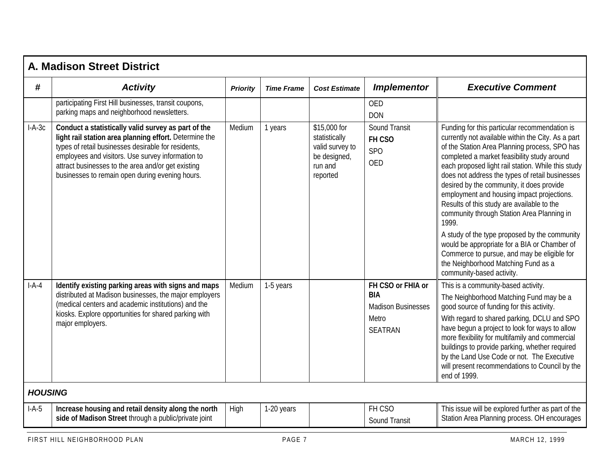|                           | <b>A. Madison Street District</b>                                                                                                                                                                                                                                                                                                  |                 |                   |                                                                                         |                                                                                         |                                                                                                                                                                                                                                                                                                                                                                                                                                                                                                                                                                                                                                                                                                                                  |  |  |  |
|---------------------------|------------------------------------------------------------------------------------------------------------------------------------------------------------------------------------------------------------------------------------------------------------------------------------------------------------------------------------|-----------------|-------------------|-----------------------------------------------------------------------------------------|-----------------------------------------------------------------------------------------|----------------------------------------------------------------------------------------------------------------------------------------------------------------------------------------------------------------------------------------------------------------------------------------------------------------------------------------------------------------------------------------------------------------------------------------------------------------------------------------------------------------------------------------------------------------------------------------------------------------------------------------------------------------------------------------------------------------------------------|--|--|--|
| #                         | <b>Activity</b>                                                                                                                                                                                                                                                                                                                    | <b>Priority</b> | <b>Time Frame</b> | <b>Cost Estimate</b>                                                                    | <b>Implementor</b>                                                                      | <b>Executive Comment</b>                                                                                                                                                                                                                                                                                                                                                                                                                                                                                                                                                                                                                                                                                                         |  |  |  |
|                           | participating First Hill businesses, transit coupons,<br>parking maps and neighborhood newsletters.                                                                                                                                                                                                                                |                 |                   |                                                                                         | <b>OED</b><br><b>DON</b>                                                                |                                                                                                                                                                                                                                                                                                                                                                                                                                                                                                                                                                                                                                                                                                                                  |  |  |  |
| $I-A-3c$                  | Conduct a statistically valid survey as part of the<br>light rail station area planning effort. Determine the<br>types of retail businesses desirable for residents,<br>employees and visitors. Use survey information to<br>attract businesses to the area and/or get existing<br>businesses to remain open during evening hours. | Medium          | 1 years           | \$15,000 for<br>statistically<br>valid survey to<br>be designed,<br>run and<br>reported | <b>Sound Transit</b><br>FH CSO<br><b>SPO</b><br><b>OED</b>                              | Funding for this particular recommendation is<br>currently not available within the City. As a part<br>of the Station Area Planning process, SPO has<br>completed a market feasibility study around<br>each proposed light rail station. While this study<br>does not address the types of retail businesses<br>desired by the community, it does provide<br>employment and housing impact projections.<br>Results of this study are available to the<br>community through Station Area Planning in<br>1999.<br>A study of the type proposed by the community<br>would be appropriate for a BIA or Chamber of<br>Commerce to pursue, and may be eligible for<br>the Neighborhood Matching Fund as a<br>community-based activity. |  |  |  |
| $I-A-4$<br><b>HOUSING</b> | Identify existing parking areas with signs and maps<br>distributed at Madison businesses, the major employers<br>(medical centers and academic institutions) and the<br>kiosks. Explore opportunities for shared parking with<br>major employers.                                                                                  | Medium          | 1-5 years         |                                                                                         | FH CSO or FHIA or<br><b>BIA</b><br><b>Madison Businesses</b><br>Metro<br><b>SEATRAN</b> | This is a community-based activity.<br>The Neighborhood Matching Fund may be a<br>good source of funding for this activity.<br>With regard to shared parking, DCLU and SPO<br>have begun a project to look for ways to allow<br>more flexibility for multifamily and commercial<br>buildings to provide parking, whether required<br>by the Land Use Code or not. The Executive<br>will present recommendations to Council by the<br>end of 1999.                                                                                                                                                                                                                                                                                |  |  |  |
|                           |                                                                                                                                                                                                                                                                                                                                    |                 |                   |                                                                                         | FH CSO                                                                                  |                                                                                                                                                                                                                                                                                                                                                                                                                                                                                                                                                                                                                                                                                                                                  |  |  |  |
| $I-A-5$                   | Increase housing and retail density along the north<br>side of Madison Street through a public/private joint                                                                                                                                                                                                                       | High            | 1-20 years        |                                                                                         | Sound Transit                                                                           | This issue will be explored further as part of the<br>Station Area Planning process. OH encourages                                                                                                                                                                                                                                                                                                                                                                                                                                                                                                                                                                                                                               |  |  |  |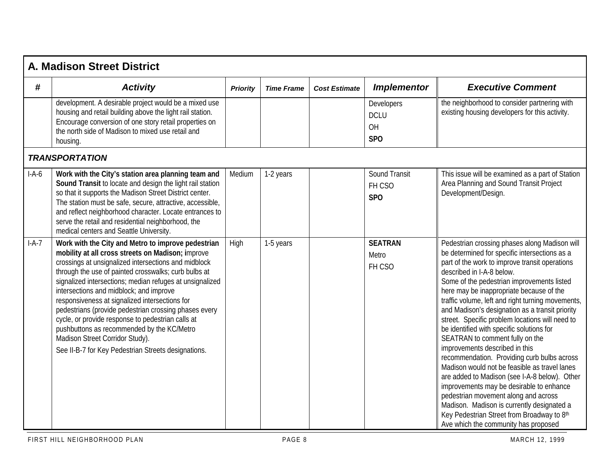|         | A. Madison Street District                                                                                                                                                                                                                                                                                                                                                                                                                                                                                                                                                                                                             |                 |                   |                      |                                                    |                                                                                                                                                                                                                                                                                                                                                                                                                                                                                                                                                                                                                                                                                                                                                                                                                                                                                                                               |  |  |  |
|---------|----------------------------------------------------------------------------------------------------------------------------------------------------------------------------------------------------------------------------------------------------------------------------------------------------------------------------------------------------------------------------------------------------------------------------------------------------------------------------------------------------------------------------------------------------------------------------------------------------------------------------------------|-----------------|-------------------|----------------------|----------------------------------------------------|-------------------------------------------------------------------------------------------------------------------------------------------------------------------------------------------------------------------------------------------------------------------------------------------------------------------------------------------------------------------------------------------------------------------------------------------------------------------------------------------------------------------------------------------------------------------------------------------------------------------------------------------------------------------------------------------------------------------------------------------------------------------------------------------------------------------------------------------------------------------------------------------------------------------------------|--|--|--|
| #       | <b>Activity</b>                                                                                                                                                                                                                                                                                                                                                                                                                                                                                                                                                                                                                        | <b>Priority</b> | <b>Time Frame</b> | <b>Cost Estimate</b> | <b>Implementor</b>                                 | <b>Executive Comment</b>                                                                                                                                                                                                                                                                                                                                                                                                                                                                                                                                                                                                                                                                                                                                                                                                                                                                                                      |  |  |  |
|         | development. A desirable project would be a mixed use<br>housing and retail building above the light rail station.<br>Encourage conversion of one story retail properties on<br>the north side of Madison to mixed use retail and<br>housing.                                                                                                                                                                                                                                                                                                                                                                                          |                 |                   |                      | Developers<br><b>DCLU</b><br>OH<br>SP <sub>O</sub> | the neighborhood to consider partnering with<br>existing housing developers for this activity.                                                                                                                                                                                                                                                                                                                                                                                                                                                                                                                                                                                                                                                                                                                                                                                                                                |  |  |  |
|         | <b>TRANSPORTATION</b>                                                                                                                                                                                                                                                                                                                                                                                                                                                                                                                                                                                                                  |                 |                   |                      |                                                    |                                                                                                                                                                                                                                                                                                                                                                                                                                                                                                                                                                                                                                                                                                                                                                                                                                                                                                                               |  |  |  |
| $I-A-6$ | Work with the City's station area planning team and<br>Sound Transit to locate and design the light rail station<br>so that it supports the Madison Street District center.<br>The station must be safe, secure, attractive, accessible,<br>and reflect neighborhood character. Locate entrances to<br>serve the retail and residential neighborhood, the<br>medical centers and Seattle University.                                                                                                                                                                                                                                   | Medium          | 1-2 years         |                      | <b>Sound Transit</b><br>FH CSO<br>SP <sub>O</sub>  | This issue will be examined as a part of Station<br>Area Planning and Sound Transit Project<br>Development/Design.                                                                                                                                                                                                                                                                                                                                                                                                                                                                                                                                                                                                                                                                                                                                                                                                            |  |  |  |
| $I-A-7$ | Work with the City and Metro to improve pedestrian<br>mobility at all cross streets on Madison; improve<br>crossings at unsignalized intersections and midblock<br>through the use of painted crosswalks; curb bulbs at<br>signalized intersections; median refuges at unsignalized<br>intersections and midblock; and improve<br>responsiveness at signalized intersections for<br>pedestrians (provide pedestrian crossing phases every<br>cycle, or provide response to pedestrian calls at<br>pushbuttons as recommended by the KC/Metro<br>Madison Street Corridor Study).<br>See II-B-7 for Key Pedestrian Streets designations. | High            | 1-5 years         |                      | <b>SEATRAN</b><br>Metro<br>FH CSO                  | Pedestrian crossing phases along Madison will<br>be determined for specific intersections as a<br>part of the work to improve transit operations<br>described in I-A-8 below.<br>Some of the pedestrian improvements listed<br>here may be inappropriate because of the<br>traffic volume, left and right turning movements,<br>and Madison's designation as a transit priority<br>street. Specific problem locations will need to<br>be identified with specific solutions for<br>SEATRAN to comment fully on the<br>improvements described in this<br>recommendation. Providing curb bulbs across<br>Madison would not be feasible as travel lanes<br>are added to Madison (see I-A-8 below). Other<br>improvements may be desirable to enhance<br>pedestrian movement along and across<br>Madison. Madison is currently designated a<br>Key Pedestrian Street from Broadway to 8th<br>Ave which the community has proposed |  |  |  |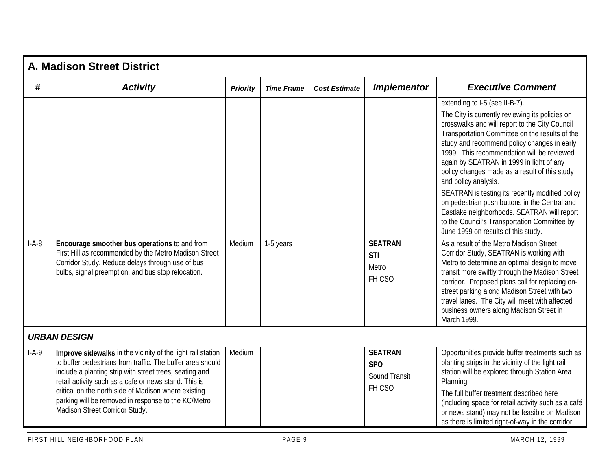|         | <b>A. Madison Street District</b>                                                                                                                                                                                                                                                                                                                                                              |                 |                   |                      |                                                                |                                                                                                                                                                                                                                                                                                                                                                                                                                                                                                                                                                                                                                                   |  |  |  |  |
|---------|------------------------------------------------------------------------------------------------------------------------------------------------------------------------------------------------------------------------------------------------------------------------------------------------------------------------------------------------------------------------------------------------|-----------------|-------------------|----------------------|----------------------------------------------------------------|---------------------------------------------------------------------------------------------------------------------------------------------------------------------------------------------------------------------------------------------------------------------------------------------------------------------------------------------------------------------------------------------------------------------------------------------------------------------------------------------------------------------------------------------------------------------------------------------------------------------------------------------------|--|--|--|--|
| #       | <b>Activity</b>                                                                                                                                                                                                                                                                                                                                                                                | <b>Priority</b> | <b>Time Frame</b> | <b>Cost Estimate</b> | <b>Implementor</b>                                             | <b>Executive Comment</b>                                                                                                                                                                                                                                                                                                                                                                                                                                                                                                                                                                                                                          |  |  |  |  |
|         |                                                                                                                                                                                                                                                                                                                                                                                                |                 |                   |                      |                                                                | extending to I-5 (see II-B-7).<br>The City is currently reviewing its policies on<br>crosswalks and will report to the City Council<br>Transportation Committee on the results of the<br>study and recommend policy changes in early<br>1999. This recommendation will be reviewed<br>again by SEATRAN in 1999 in light of any<br>policy changes made as a result of this study<br>and policy analysis.<br>SEATRAN is testing its recently modified policy<br>on pedestrian push buttons in the Central and<br>Eastlake neighborhoods. SEATRAN will report<br>to the Council's Transportation Committee by<br>June 1999 on results of this study. |  |  |  |  |
| $I-A-8$ | Encourage smoother bus operations to and from<br>First Hill as recommended by the Metro Madison Street<br>Corridor Study. Reduce delays through use of bus<br>bulbs, signal preemption, and bus stop relocation.                                                                                                                                                                               | Medium          | 1-5 years         |                      | <b>SEATRAN</b><br><b>STI</b><br>Metro<br>FH CSO                | As a result of the Metro Madison Street<br>Corridor Study, SEATRAN is working with<br>Metro to determine an optimal design to move<br>transit more swiftly through the Madison Street<br>corridor. Proposed plans call for replacing on-<br>street parking along Madison Street with two<br>travel lanes. The City will meet with affected<br>business owners along Madison Street in<br>March 1999.                                                                                                                                                                                                                                              |  |  |  |  |
|         | <b>URBAN DESIGN</b>                                                                                                                                                                                                                                                                                                                                                                            |                 |                   |                      |                                                                |                                                                                                                                                                                                                                                                                                                                                                                                                                                                                                                                                                                                                                                   |  |  |  |  |
| $I-A-9$ | Improve sidewalks in the vicinity of the light rail station<br>to buffer pedestrians from traffic. The buffer area should<br>include a planting strip with street trees, seating and<br>retail activity such as a cafe or news stand. This is<br>critical on the north side of Madison where existing<br>parking will be removed in response to the KC/Metro<br>Madison Street Corridor Study. | Medium          |                   |                      | <b>SEATRAN</b><br><b>SPO</b><br><b>Sound Transit</b><br>FH CSO | Opportunities provide buffer treatments such as<br>planting strips in the vicinity of the light rail<br>station will be explored through Station Area<br>Planning.<br>The full buffer treatment described here<br>(including space for retail activity such as a café<br>or news stand) may not be feasible on Madison<br>as there is limited right-of-way in the corridor                                                                                                                                                                                                                                                                        |  |  |  |  |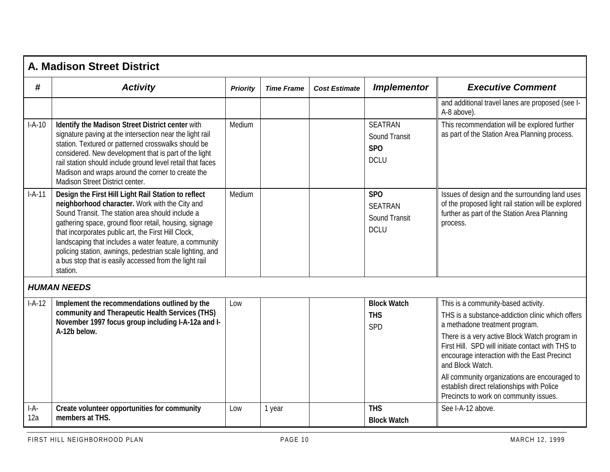|               | A. Madison Street District                                                                                                                                                                                                                                                                                                                                                                                                                                              |                 |                   |                      |                                                                          |                                                                                                                                                                                                                                                                                                                                                                                                                                              |
|---------------|-------------------------------------------------------------------------------------------------------------------------------------------------------------------------------------------------------------------------------------------------------------------------------------------------------------------------------------------------------------------------------------------------------------------------------------------------------------------------|-----------------|-------------------|----------------------|--------------------------------------------------------------------------|----------------------------------------------------------------------------------------------------------------------------------------------------------------------------------------------------------------------------------------------------------------------------------------------------------------------------------------------------------------------------------------------------------------------------------------------|
| #             | <b>Activity</b>                                                                                                                                                                                                                                                                                                                                                                                                                                                         | <b>Priority</b> | <b>Time Frame</b> | <b>Cost Estimate</b> | <b>Implementor</b>                                                       | <b>Executive Comment</b>                                                                                                                                                                                                                                                                                                                                                                                                                     |
|               |                                                                                                                                                                                                                                                                                                                                                                                                                                                                         |                 |                   |                      |                                                                          | and additional travel lanes are proposed (see I-<br>A-8 above).                                                                                                                                                                                                                                                                                                                                                                              |
| $I-A-10$      | Identify the Madison Street District center with<br>signature paving at the intersection near the light rail<br>station. Textured or patterned crosswalks should be<br>considered. New development that is part of the light<br>rail station should include ground level retail that faces<br>Madison and wraps around the corner to create the<br>Madison Street District center.                                                                                      | Medium          |                   |                      | <b>SEATRAN</b><br><b>Sound Transit</b><br>SPO<br><b>DCLU</b>             | This recommendation will be explored further<br>as part of the Station Area Planning process.                                                                                                                                                                                                                                                                                                                                                |
| $I-A-11$      | Design the First Hill Light Rail Station to reflect<br>neighborhood character. Work with the City and<br>Sound Transit. The station area should include a<br>gathering space, ground floor retail, housing, signage<br>that incorporates public art, the First Hill Clock,<br>landscaping that includes a water feature, a community<br>policing station, awnings, pedestrian scale lighting, and<br>a bus stop that is easily accessed from the light rail<br>station. | Medium          |                   |                      | SP <sub>O</sub><br><b>SEATRAN</b><br><b>Sound Transit</b><br><b>DCLU</b> | Issues of design and the surrounding land uses<br>of the proposed light rail station will be explored<br>further as part of the Station Area Planning<br>process.                                                                                                                                                                                                                                                                            |
|               | <b>HUMAN NEEDS</b>                                                                                                                                                                                                                                                                                                                                                                                                                                                      |                 |                   |                      |                                                                          |                                                                                                                                                                                                                                                                                                                                                                                                                                              |
| $I-A-12$      | Implement the recommendations outlined by the<br>community and Therapeutic Health Services (THS)<br>November 1997 focus group including I-A-12a and I-<br>A-12b below.                                                                                                                                                                                                                                                                                                  | Low             |                   |                      | <b>Block Watch</b><br><b>THS</b><br><b>SPD</b>                           | This is a community-based activity.<br>THS is a substance-addiction clinic which offers<br>a methadone treatment program.<br>There is a very active Block Watch program in<br>First Hill. SPD will initiate contact with THS to<br>encourage interaction with the East Precinct<br>and Block Watch.<br>All community organizations are encouraged to<br>establish direct relationships with Police<br>Precincts to work on community issues. |
| $I-A-$<br>12a | Create volunteer opportunities for community<br>members at THS.                                                                                                                                                                                                                                                                                                                                                                                                         | Low             | 1 year            |                      | <b>THS</b><br><b>Block Watch</b>                                         | See I-A-12 above.                                                                                                                                                                                                                                                                                                                                                                                                                            |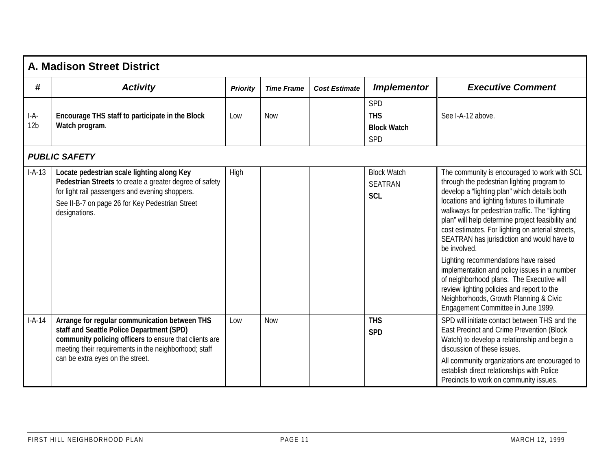|                         | <b>A. Madison Street District</b>                                                                                                                                                                                                                 |                 |                   |                      |                                                    |                                                                                                                                                                                                                                                                                                                                                                                                                                                                                                                                                                                                                                                                                          |  |  |  |
|-------------------------|---------------------------------------------------------------------------------------------------------------------------------------------------------------------------------------------------------------------------------------------------|-----------------|-------------------|----------------------|----------------------------------------------------|------------------------------------------------------------------------------------------------------------------------------------------------------------------------------------------------------------------------------------------------------------------------------------------------------------------------------------------------------------------------------------------------------------------------------------------------------------------------------------------------------------------------------------------------------------------------------------------------------------------------------------------------------------------------------------------|--|--|--|
| #                       | <b>Activity</b>                                                                                                                                                                                                                                   | <b>Priority</b> | <b>Time Frame</b> | <b>Cost Estimate</b> | <b>Implementor</b>                                 | <b>Executive Comment</b>                                                                                                                                                                                                                                                                                                                                                                                                                                                                                                                                                                                                                                                                 |  |  |  |
|                         |                                                                                                                                                                                                                                                   |                 |                   |                      | <b>SPD</b>                                         |                                                                                                                                                                                                                                                                                                                                                                                                                                                                                                                                                                                                                                                                                          |  |  |  |
| I-A-<br>12 <sub>b</sub> | Encourage THS staff to participate in the Block<br>Watch program.                                                                                                                                                                                 | Low             | <b>Now</b>        |                      | <b>THS</b><br><b>Block Watch</b><br><b>SPD</b>     | See I-A-12 above.                                                                                                                                                                                                                                                                                                                                                                                                                                                                                                                                                                                                                                                                        |  |  |  |
|                         | <b>PUBLIC SAFETY</b>                                                                                                                                                                                                                              |                 |                   |                      |                                                    |                                                                                                                                                                                                                                                                                                                                                                                                                                                                                                                                                                                                                                                                                          |  |  |  |
| $I-A-13$                | Locate pedestrian scale lighting along Key<br>Pedestrian Streets to create a greater degree of safety<br>for light rail passengers and evening shoppers.<br>See II-B-7 on page 26 for Key Pedestrian Street<br>designations.                      | High            |                   |                      | <b>Block Watch</b><br><b>SEATRAN</b><br><b>SCL</b> | The community is encouraged to work with SCL<br>through the pedestrian lighting program to<br>develop a "lighting plan" which details both<br>locations and lighting fixtures to illuminate<br>walkways for pedestrian traffic. The "lighting<br>plan" will help determine project feasibility and<br>cost estimates. For lighting on arterial streets,<br>SEATRAN has jurisdiction and would have to<br>be involved.<br>Lighting recommendations have raised<br>implementation and policy issues in a number<br>of neighborhood plans. The Executive will<br>review lighting policies and report to the<br>Neighborhoods, Growth Planning & Civic<br>Engagement Committee in June 1999. |  |  |  |
| $I-A-14$                | Arrange for regular communication between THS<br>staff and Seattle Police Department (SPD)<br>community policing officers to ensure that clients are<br>meeting their requirements in the neighborhood; staff<br>can be extra eyes on the street. | Low             | <b>Now</b>        |                      | <b>THS</b><br><b>SPD</b>                           | SPD will initiate contact between THS and the<br>East Precinct and Crime Prevention (Block<br>Watch) to develop a relationship and begin a<br>discussion of these issues.<br>All community organizations are encouraged to<br>establish direct relationships with Police<br>Precincts to work on community issues.                                                                                                                                                                                                                                                                                                                                                                       |  |  |  |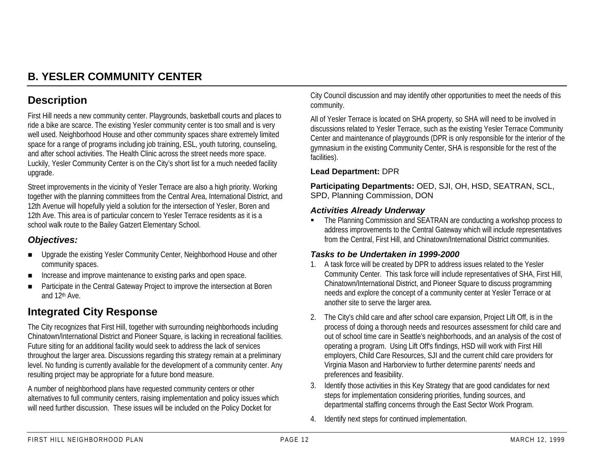# **B. YESLER COMMUNITY CENTER**

## **Description**

First Hill needs a new community center. Playgrounds, basketball courts and places to ride a bike are scarce. The existing Yesler community center is too small and is very well used. Neighborhood House and other community spaces share extremely limited space for a range of programs including job training, ESL, youth tutoring, counseling, and after school activities. The Health Clinic across the street needs more space. Luckily, Yesler Community Center is on the City's short list for a much needed facility upgrade.

Street improvements in the vicinity of Yesler Terrace are also a high priority. Working together with the planning committees from the Central Area, International District, and 12th Avenue will hopefully yield a solution for the intersection of Yesler, Boren and 12th Ave. This area is of particular concern to Yesler Terrace residents as it is a school walk route to the Bailey Gatzert Elementary School.

## *Objectives:*

- **. Upgrade the existing Yesler Community Center, Neighborhood House and other** community spaces.
- !Increase and improve maintenance to existing parks and open space.
- **.**  Participate in the Central Gateway Project to improve the intersection at Boren and 12th Ave.

## **Integrated City Response**

The City recognizes that First Hill, together with surrounding neighborhoods including Chinatown/International District and Pioneer Square, is lacking in recreational facilities. Future siting for an additional facility would seek to address the lack of services throughout the larger area. Discussions regarding this strategy remain at a preliminary level. No funding is currently available for the development of a community center. Any resulting project may be appropriate for a future bond measure.

A number of neighborhood plans have requested community centers or other alternatives to full community centers, raising implementation and policy issues which will need further discussion. These issues will be included on the Policy Docket for

City Council discussion and may identify other opportunities to meet the needs of this community.

All of Yesler Terrace is located on SHA property, so SHA will need to be involved in discussions related to Yesler Terrace, such as the existing Yesler Terrace Community Center and maintenance of playgrounds (DPR is only responsible for the interior of the gymnasium in the existing Community Center, SHA is responsible for the rest of the facilities).

#### **Lead Department:** DPR

**Participating Departments:** OED, SJI, OH, HSD, SEATRAN, SCL, SPD, Planning Commission, DON

#### *Activities Already Underway*

" The Planning Commission and SEATRAN are conducting a workshop process to address improvements to the Central Gateway which will include representatives from the Central, First Hill, and Chinatown/International District communities.

## *Tasks to be Undertaken in 1999-2000*

- 1. A task force will be created by DPR to address issues related to the Yesler Community Center. This task force will include representatives of SHA, First Hill, Chinatown/International District, and Pioneer Square to discuss programming needs and explore the concept of a community center at Yesler Terrace or at another site to serve the larger area.
- 2. The City's child care and after school care expansion, Project Lift Off, is in the process of doing a thorough needs and resources assessment for child care and out of school time care in Seattle's neighborhoods, and an analysis of the cost of operating a program. Using Lift Off's findings, HSD will work with First Hill employers, Child Care Resources, SJI and the current child care providers for Virginia Mason and Harborview to further determine parents' needs and preferences and feasibility.
- 3. Identify those activities in this Key Strategy that are good candidates for next steps for implementation considering priorities, funding sources, and departmental staffing concerns through the East Sector Work Program.
- 4. Identify next steps for continued implementation.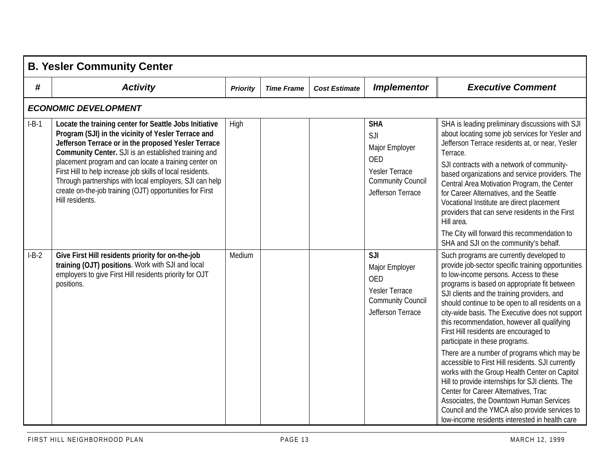|         | <b>B. Yesler Community Center</b>                                                                                                                                                                                                                                                                                                                                                                                                                                                             |                 |                   |                      |                                                                                                                      |                                                                                                                                                                                                                                                                                                                                                                                                                                                                                                                                                                                                                                                                                                                                                                                                                                                                          |  |  |  |
|---------|-----------------------------------------------------------------------------------------------------------------------------------------------------------------------------------------------------------------------------------------------------------------------------------------------------------------------------------------------------------------------------------------------------------------------------------------------------------------------------------------------|-----------------|-------------------|----------------------|----------------------------------------------------------------------------------------------------------------------|--------------------------------------------------------------------------------------------------------------------------------------------------------------------------------------------------------------------------------------------------------------------------------------------------------------------------------------------------------------------------------------------------------------------------------------------------------------------------------------------------------------------------------------------------------------------------------------------------------------------------------------------------------------------------------------------------------------------------------------------------------------------------------------------------------------------------------------------------------------------------|--|--|--|
| #       | <b>Activity</b>                                                                                                                                                                                                                                                                                                                                                                                                                                                                               | <b>Priority</b> | <b>Time Frame</b> | <b>Cost Estimate</b> | <b>Implementor</b>                                                                                                   | <b>Executive Comment</b>                                                                                                                                                                                                                                                                                                                                                                                                                                                                                                                                                                                                                                                                                                                                                                                                                                                 |  |  |  |
|         | <b>ECONOMIC DEVELOPMENT</b>                                                                                                                                                                                                                                                                                                                                                                                                                                                                   |                 |                   |                      |                                                                                                                      |                                                                                                                                                                                                                                                                                                                                                                                                                                                                                                                                                                                                                                                                                                                                                                                                                                                                          |  |  |  |
| $I-B-1$ | Locate the training center for Seattle Jobs Initiative<br>Program (SJI) in the vicinity of Yesler Terrace and<br>Jefferson Terrace or in the proposed Yesler Terrace<br>Community Center. SJI is an established training and<br>placement program and can locate a training center on<br>First Hill to help increase job skills of local residents.<br>Through partnerships with local employers, SJI can help<br>create on-the-job training (OJT) opportunities for First<br>Hill residents. | High            |                   |                      | <b>SHA</b><br>SJI<br>Major Employer<br><b>OED</b><br>Yesler Terrace<br><b>Community Council</b><br>Jefferson Terrace | SHA is leading preliminary discussions with SJI<br>about locating some job services for Yesler and<br>Jefferson Terrace residents at, or near, Yesler<br>Terrace.<br>SJI contracts with a network of community-<br>based organizations and service providers. The<br>Central Area Motivation Program, the Center<br>for Career Alternatives, and the Seattle<br>Vocational Institute are direct placement<br>providers that can serve residents in the First<br>Hill area.<br>The City will forward this recommendation to<br>SHA and SJI on the community's behalf.                                                                                                                                                                                                                                                                                                     |  |  |  |
| $I-B-2$ | Give First Hill residents priority for on-the-job<br>training (OJT) positions. Work with SJI and local<br>employers to give First Hill residents priority for OJT<br>positions.                                                                                                                                                                                                                                                                                                               | Medium          |                   |                      | SJI<br>Major Employer<br><b>OED</b><br><b>Yesler Terrace</b><br><b>Community Council</b><br>Jefferson Terrace        | Such programs are currently developed to<br>provide job-sector specific training opportunities<br>to low-income persons. Access to these<br>programs is based on appropriate fit between<br>SJI clients and the training providers, and<br>should continue to be open to all residents on a<br>city-wide basis. The Executive does not support<br>this recommendation, however all qualifying<br>First Hill residents are encouraged to<br>participate in these programs.<br>There are a number of programs which may be<br>accessible to First Hill residents. SJI currently<br>works with the Group Health Center on Capitol<br>Hill to provide internships for SJI clients. The<br>Center for Career Alternatives, Trac<br>Associates, the Downtown Human Services<br>Council and the YMCA also provide services to<br>low-income residents interested in health care |  |  |  |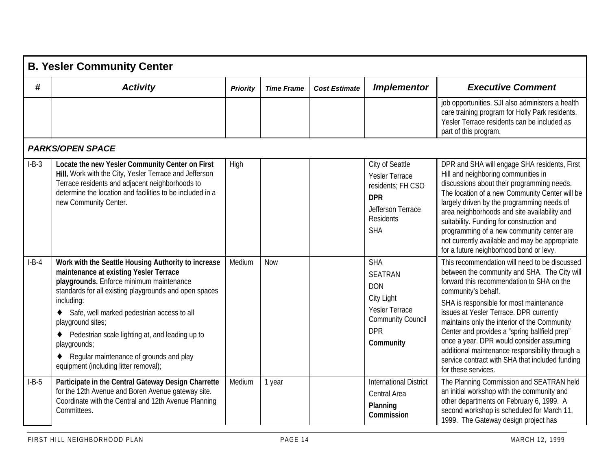|         | <b>B. Yesler Community Center</b>                                                                                                                                                                                                                                                                                                                                                                                                           |                 |                   |                      |                                                                                                                                    |                                                                                                                                                                                                                                                                                                                                                                                                                                                                                                                                   |  |  |  |
|---------|---------------------------------------------------------------------------------------------------------------------------------------------------------------------------------------------------------------------------------------------------------------------------------------------------------------------------------------------------------------------------------------------------------------------------------------------|-----------------|-------------------|----------------------|------------------------------------------------------------------------------------------------------------------------------------|-----------------------------------------------------------------------------------------------------------------------------------------------------------------------------------------------------------------------------------------------------------------------------------------------------------------------------------------------------------------------------------------------------------------------------------------------------------------------------------------------------------------------------------|--|--|--|
| #       | <b>Activity</b>                                                                                                                                                                                                                                                                                                                                                                                                                             | <b>Priority</b> | <b>Time Frame</b> | <b>Cost Estimate</b> | <b>Implementor</b>                                                                                                                 | <b>Executive Comment</b>                                                                                                                                                                                                                                                                                                                                                                                                                                                                                                          |  |  |  |
|         |                                                                                                                                                                                                                                                                                                                                                                                                                                             |                 |                   |                      |                                                                                                                                    | job opportunities. SJI also administers a health<br>care training program for Holly Park residents.<br>Yesler Terrace residents can be included as<br>part of this program.                                                                                                                                                                                                                                                                                                                                                       |  |  |  |
|         | <b>PARKS/OPEN SPACE</b>                                                                                                                                                                                                                                                                                                                                                                                                                     |                 |                   |                      |                                                                                                                                    |                                                                                                                                                                                                                                                                                                                                                                                                                                                                                                                                   |  |  |  |
| $I-B-3$ | Locate the new Yesler Community Center on First<br>Hill. Work with the City, Yesler Terrace and Jefferson<br>Terrace residents and adjacent neighborhoods to<br>determine the location and facilities to be included in a<br>new Community Center.                                                                                                                                                                                          | High            |                   |                      | City of Seattle<br><b>Yesler Terrace</b><br>residents; FH CSO<br><b>DPR</b><br>Jefferson Terrace<br><b>Residents</b><br><b>SHA</b> | DPR and SHA will engage SHA residents, First<br>Hill and neighboring communities in<br>discussions about their programming needs.<br>The location of a new Community Center will be<br>largely driven by the programming needs of<br>area neighborhoods and site availability and<br>suitability. Funding for construction and<br>programming of a new community center are<br>not currently available and may be appropriate<br>for a future neighborhood bond or levy.                                                          |  |  |  |
| $I-B-4$ | Work with the Seattle Housing Authority to increase<br>maintenance at existing Yesler Terrace<br>playgrounds. Enforce minimum maintenance<br>standards for all existing playgrounds and open spaces<br>including:<br>Safe, well marked pedestrian access to all<br>playground sites;<br>Pedestrian scale lighting at, and leading up to<br>playgrounds;<br>Regular maintenance of grounds and play<br>equipment (including litter removal); | Medium          | <b>Now</b>        |                      | <b>SHA</b><br><b>SEATRAN</b><br><b>DON</b><br>City Light<br>Yesler Terrace<br><b>Community Council</b><br><b>DPR</b><br>Community  | This recommendation will need to be discussed<br>between the community and SHA. The City will<br>forward this recommendation to SHA on the<br>community's behalf.<br>SHA is responsible for most maintenance<br>issues at Yesler Terrace. DPR currently<br>maintains only the interior of the Community<br>Center and provides a "spring ballfield prep"<br>once a year. DPR would consider assuming<br>additional maintenance responsibility through a<br>service contract with SHA that included funding<br>for these services. |  |  |  |
| $I-B-5$ | Participate in the Central Gateway Design Charrette<br>for the 12th Avenue and Boren Avenue gateway site.<br>Coordinate with the Central and 12th Avenue Planning<br>Committees.                                                                                                                                                                                                                                                            | Medium          | 1 year            |                      | <b>International District</b><br>Central Area<br>Planning<br>Commission                                                            | The Planning Commission and SEATRAN held<br>an initial workshop with the community and<br>other departments on February 6, 1999. A<br>second workshop is scheduled for March 11,<br>1999. The Gateway design project has                                                                                                                                                                                                                                                                                                          |  |  |  |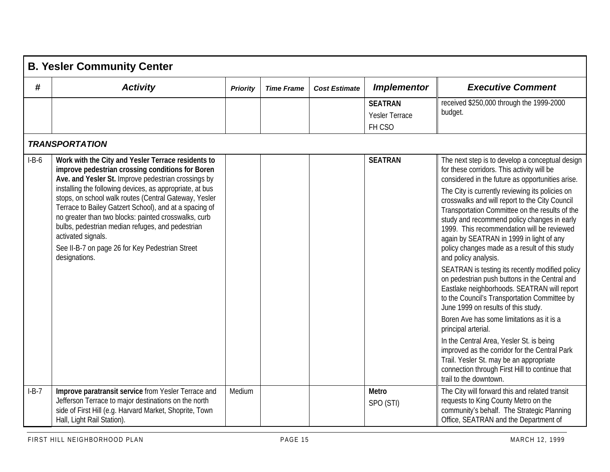|         | <b>B. Yesler Community Center</b>                                                                                                                                                                                                                                                                                                                                                                                                                                                                                                                  |                 |                   |                      |                                            |                                                                                                                                                                                                                                                                                                                                                                                                                                                                                                                                                                                                                                                                                                                                                                                                                                                                                                                                                                                                                                                              |  |  |  |
|---------|----------------------------------------------------------------------------------------------------------------------------------------------------------------------------------------------------------------------------------------------------------------------------------------------------------------------------------------------------------------------------------------------------------------------------------------------------------------------------------------------------------------------------------------------------|-----------------|-------------------|----------------------|--------------------------------------------|--------------------------------------------------------------------------------------------------------------------------------------------------------------------------------------------------------------------------------------------------------------------------------------------------------------------------------------------------------------------------------------------------------------------------------------------------------------------------------------------------------------------------------------------------------------------------------------------------------------------------------------------------------------------------------------------------------------------------------------------------------------------------------------------------------------------------------------------------------------------------------------------------------------------------------------------------------------------------------------------------------------------------------------------------------------|--|--|--|
| #       | <b>Activity</b>                                                                                                                                                                                                                                                                                                                                                                                                                                                                                                                                    | <b>Priority</b> | <b>Time Frame</b> | <b>Cost Estimate</b> | <b>Implementor</b>                         | <b>Executive Comment</b>                                                                                                                                                                                                                                                                                                                                                                                                                                                                                                                                                                                                                                                                                                                                                                                                                                                                                                                                                                                                                                     |  |  |  |
|         |                                                                                                                                                                                                                                                                                                                                                                                                                                                                                                                                                    |                 |                   |                      | <b>SEATRAN</b><br>Yesler Terrace<br>FH CSO | received \$250,000 through the 1999-2000<br>budget.                                                                                                                                                                                                                                                                                                                                                                                                                                                                                                                                                                                                                                                                                                                                                                                                                                                                                                                                                                                                          |  |  |  |
|         | <b>TRANSPORTATION</b>                                                                                                                                                                                                                                                                                                                                                                                                                                                                                                                              |                 |                   |                      |                                            |                                                                                                                                                                                                                                                                                                                                                                                                                                                                                                                                                                                                                                                                                                                                                                                                                                                                                                                                                                                                                                                              |  |  |  |
| $I-B-6$ | Work with the City and Yesler Terrace residents to<br>improve pedestrian crossing conditions for Boren<br>Ave. and Yesler St. Improve pedestrian crossings by<br>installing the following devices, as appropriate, at bus<br>stops, on school walk routes (Central Gateway, Yesler<br>Terrace to Bailey Gatzert School), and at a spacing of<br>no greater than two blocks: painted crosswalks, curb<br>bulbs, pedestrian median refuges, and pedestrian<br>activated signals.<br>See II-B-7 on page 26 for Key Pedestrian Street<br>designations. |                 |                   |                      | <b>SEATRAN</b>                             | The next step is to develop a conceptual design<br>for these corridors. This activity will be<br>considered in the future as opportunities arise.<br>The City is currently reviewing its policies on<br>crosswalks and will report to the City Council<br>Transportation Committee on the results of the<br>study and recommend policy changes in early<br>1999. This recommendation will be reviewed<br>again by SEATRAN in 1999 in light of any<br>policy changes made as a result of this study<br>and policy analysis.<br>SEATRAN is testing its recently modified policy<br>on pedestrian push buttons in the Central and<br>Eastlake neighborhoods. SEATRAN will report<br>to the Council's Transportation Committee by<br>June 1999 on results of this study.<br>Boren Ave has some limitations as it is a<br>principal arterial.<br>In the Central Area, Yesler St. is being<br>improved as the corridor for the Central Park<br>Trail. Yesler St. may be an appropriate<br>connection through First Hill to continue that<br>trail to the downtown. |  |  |  |
| $I-B-7$ | Improve paratransit service from Yesler Terrace and<br>Jefferson Terrace to major destinations on the north<br>side of First Hill (e.g. Harvard Market, Shoprite, Town<br>Hall, Light Rail Station).                                                                                                                                                                                                                                                                                                                                               | Medium          |                   |                      | <b>Metro</b><br>SPO (STI)                  | The City will forward this and related transit<br>requests to King County Metro on the<br>community's behalf. The Strategic Planning<br>Office, SEATRAN and the Department of                                                                                                                                                                                                                                                                                                                                                                                                                                                                                                                                                                                                                                                                                                                                                                                                                                                                                |  |  |  |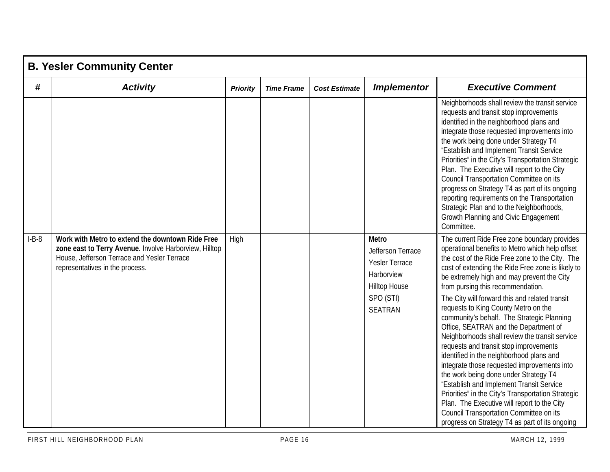|         | <b>B. Yesler Community Center</b>                                                                                                                                                            |                 |                   |                      |                                                                                                                          |                                                                                                                                                                                                                                                                                                                                                                                                                                                                                                                                                                                                                                                                                                                                                                                                                                                                                                                                                           |  |  |  |
|---------|----------------------------------------------------------------------------------------------------------------------------------------------------------------------------------------------|-----------------|-------------------|----------------------|--------------------------------------------------------------------------------------------------------------------------|-----------------------------------------------------------------------------------------------------------------------------------------------------------------------------------------------------------------------------------------------------------------------------------------------------------------------------------------------------------------------------------------------------------------------------------------------------------------------------------------------------------------------------------------------------------------------------------------------------------------------------------------------------------------------------------------------------------------------------------------------------------------------------------------------------------------------------------------------------------------------------------------------------------------------------------------------------------|--|--|--|
| #       | <b>Activity</b>                                                                                                                                                                              | <b>Priority</b> | <b>Time Frame</b> | <b>Cost Estimate</b> | <b>Implementor</b>                                                                                                       | <b>Executive Comment</b>                                                                                                                                                                                                                                                                                                                                                                                                                                                                                                                                                                                                                                                                                                                                                                                                                                                                                                                                  |  |  |  |
|         |                                                                                                                                                                                              |                 |                   |                      |                                                                                                                          | Neighborhoods shall review the transit service<br>requests and transit stop improvements<br>identified in the neighborhood plans and<br>integrate those requested improvements into<br>the work being done under Strategy T4<br>"Establish and Implement Transit Service<br>Priorities" in the City's Transportation Strategic<br>Plan. The Executive will report to the City<br>Council Transportation Committee on its<br>progress on Strategy T4 as part of its ongoing<br>reporting requirements on the Transportation<br>Strategic Plan and to the Neighborhoods,<br>Growth Planning and Civic Engagement<br>Committee.                                                                                                                                                                                                                                                                                                                              |  |  |  |
| $I-B-8$ | Work with Metro to extend the downtown Ride Free<br>zone east to Terry Avenue. Involve Harborview, Hilltop<br>House, Jefferson Terrace and Yesler Terrace<br>representatives in the process. | High            |                   |                      | <b>Metro</b><br>Jefferson Terrace<br>Yesler Terrace<br>Harborview<br><b>Hilltop House</b><br>SPO (STI)<br><b>SEATRAN</b> | The current Ride Free zone boundary provides<br>operational benefits to Metro which help offset<br>the cost of the Ride Free zone to the City. The<br>cost of extending the Ride Free zone is likely to<br>be extremely high and may prevent the City<br>from pursing this recommendation.<br>The City will forward this and related transit<br>requests to King County Metro on the<br>community's behalf. The Strategic Planning<br>Office, SEATRAN and the Department of<br>Neighborhoods shall review the transit service<br>requests and transit stop improvements<br>identified in the neighborhood plans and<br>integrate those requested improvements into<br>the work being done under Strategy T4<br>"Establish and Implement Transit Service<br>Priorities" in the City's Transportation Strategic<br>Plan. The Executive will report to the City<br>Council Transportation Committee on its<br>progress on Strategy T4 as part of its ongoing |  |  |  |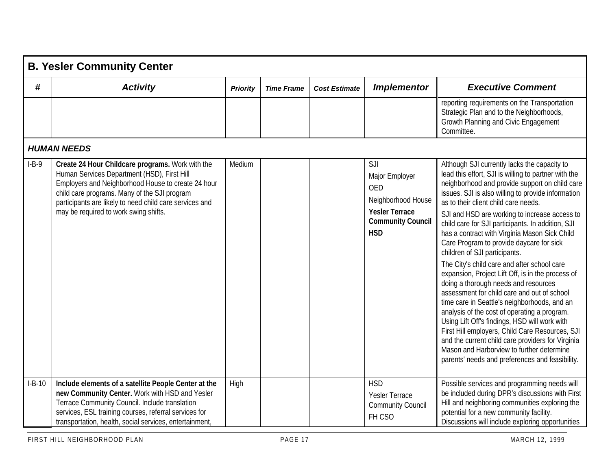|          | <b>B. Yesler Community Center</b>                                                                                                                                                                                                                                                                         |                 |                   |                      |                                                                                                                              |                                                                                                                                                                                                                                                                                                                                                                                                                                                                                                                                                                                                                                                                                                                                                                                                                                                                                                                                                                                                                                              |
|----------|-----------------------------------------------------------------------------------------------------------------------------------------------------------------------------------------------------------------------------------------------------------------------------------------------------------|-----------------|-------------------|----------------------|------------------------------------------------------------------------------------------------------------------------------|----------------------------------------------------------------------------------------------------------------------------------------------------------------------------------------------------------------------------------------------------------------------------------------------------------------------------------------------------------------------------------------------------------------------------------------------------------------------------------------------------------------------------------------------------------------------------------------------------------------------------------------------------------------------------------------------------------------------------------------------------------------------------------------------------------------------------------------------------------------------------------------------------------------------------------------------------------------------------------------------------------------------------------------------|
| #        | <b>Activity</b>                                                                                                                                                                                                                                                                                           | <b>Priority</b> | <b>Time Frame</b> | <b>Cost Estimate</b> | <b>Implementor</b>                                                                                                           | <b>Executive Comment</b>                                                                                                                                                                                                                                                                                                                                                                                                                                                                                                                                                                                                                                                                                                                                                                                                                                                                                                                                                                                                                     |
|          |                                                                                                                                                                                                                                                                                                           |                 |                   |                      |                                                                                                                              | reporting requirements on the Transportation<br>Strategic Plan and to the Neighborhoods,<br>Growth Planning and Civic Engagement<br>Committee.                                                                                                                                                                                                                                                                                                                                                                                                                                                                                                                                                                                                                                                                                                                                                                                                                                                                                               |
|          | <b>HUMAN NEEDS</b>                                                                                                                                                                                                                                                                                        |                 |                   |                      |                                                                                                                              |                                                                                                                                                                                                                                                                                                                                                                                                                                                                                                                                                                                                                                                                                                                                                                                                                                                                                                                                                                                                                                              |
| $I-B-9$  | Create 24 Hour Childcare programs. Work with the<br>Human Services Department (HSD), First Hill<br>Employers and Neighborhood House to create 24 hour<br>child care programs. Many of the SJI program<br>participants are likely to need child care services and<br>may be required to work swing shifts. | Medium          |                   |                      | SJI<br>Major Employer<br><b>OED</b><br>Neighborhood House<br><b>Yesler Terrace</b><br><b>Community Council</b><br><b>HSD</b> | Although SJI currently lacks the capacity to<br>lead this effort, SJI is willing to partner with the<br>neighborhood and provide support on child care<br>issues. SJI is also willing to provide information<br>as to their client child care needs.<br>SJI and HSD are working to increase access to<br>child care for SJI participants. In addition, SJI<br>has a contract with Virginia Mason Sick Child<br>Care Program to provide daycare for sick<br>children of SJI participants.<br>The City's child care and after school care<br>expansion, Project Lift Off, is in the process of<br>doing a thorough needs and resources<br>assessment for child care and out of school<br>time care in Seattle's neighborhoods, and an<br>analysis of the cost of operating a program.<br>Using Lift Off's findings, HSD will work with<br>First Hill employers, Child Care Resources, SJI<br>and the current child care providers for Virginia<br>Mason and Harborview to further determine<br>parents' needs and preferences and feasibility. |
| $I-B-10$ | Include elements of a satellite People Center at the<br>new Community Center. Work with HSD and Yesler                                                                                                                                                                                                    | High            |                   |                      | <b>HSD</b>                                                                                                                   | Possible services and programming needs will<br>be included during DPR's discussions with First                                                                                                                                                                                                                                                                                                                                                                                                                                                                                                                                                                                                                                                                                                                                                                                                                                                                                                                                              |
|          | Terrace Community Council. Include translation<br>services, ESL training courses, referral services for<br>transportation, health, social services, entertainment,                                                                                                                                        |                 |                   |                      | Yesler Terrace<br><b>Community Council</b><br>FH CSO                                                                         | Hill and neighboring communities exploring the<br>potential for a new community facility.<br>Discussions will include exploring opportunities                                                                                                                                                                                                                                                                                                                                                                                                                                                                                                                                                                                                                                                                                                                                                                                                                                                                                                |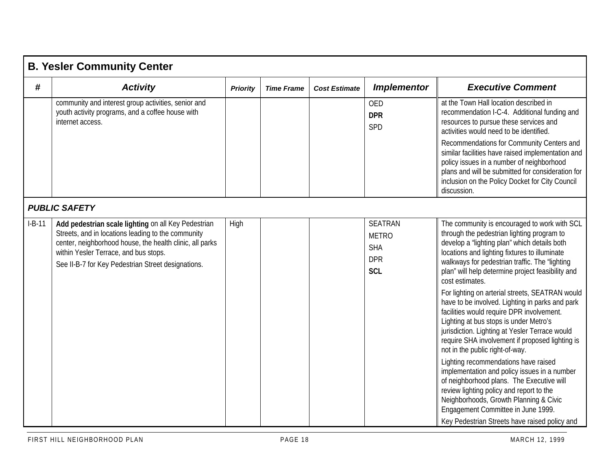|          | <b>B. Yesler Community Center</b>                                                                                                                                                                                                                                    |                 |                   |                      |                                                                          |                                                                                                                                                                                                                                                                                                                                                                                                                                                                                                                                                                                                                                                                                                                                                                                                                                                                                                                                                                              |  |  |  |  |
|----------|----------------------------------------------------------------------------------------------------------------------------------------------------------------------------------------------------------------------------------------------------------------------|-----------------|-------------------|----------------------|--------------------------------------------------------------------------|------------------------------------------------------------------------------------------------------------------------------------------------------------------------------------------------------------------------------------------------------------------------------------------------------------------------------------------------------------------------------------------------------------------------------------------------------------------------------------------------------------------------------------------------------------------------------------------------------------------------------------------------------------------------------------------------------------------------------------------------------------------------------------------------------------------------------------------------------------------------------------------------------------------------------------------------------------------------------|--|--|--|--|
| #        | <b>Activity</b>                                                                                                                                                                                                                                                      | <b>Priority</b> | <b>Time Frame</b> | <b>Cost Estimate</b> | <b>Implementor</b>                                                       | <b>Executive Comment</b>                                                                                                                                                                                                                                                                                                                                                                                                                                                                                                                                                                                                                                                                                                                                                                                                                                                                                                                                                     |  |  |  |  |
|          | community and interest group activities, senior and<br>youth activity programs, and a coffee house with<br>internet access.                                                                                                                                          |                 |                   |                      | <b>OED</b><br><b>DPR</b><br>SPD                                          | at the Town Hall location described in<br>recommendation I-C-4. Additional funding and<br>resources to pursue these services and<br>activities would need to be identified.                                                                                                                                                                                                                                                                                                                                                                                                                                                                                                                                                                                                                                                                                                                                                                                                  |  |  |  |  |
|          |                                                                                                                                                                                                                                                                      |                 |                   |                      |                                                                          | Recommendations for Community Centers and<br>similar facilities have raised implementation and<br>policy issues in a number of neighborhood<br>plans and will be submitted for consideration for<br>inclusion on the Policy Docket for City Council<br>discussion.                                                                                                                                                                                                                                                                                                                                                                                                                                                                                                                                                                                                                                                                                                           |  |  |  |  |
|          | <b>PUBLIC SAFETY</b>                                                                                                                                                                                                                                                 |                 |                   |                      |                                                                          |                                                                                                                                                                                                                                                                                                                                                                                                                                                                                                                                                                                                                                                                                                                                                                                                                                                                                                                                                                              |  |  |  |  |
| $I-B-11$ | Add pedestrian scale lighting on all Key Pedestrian<br>Streets, and in locations leading to the community<br>center, neighborhood house, the health clinic, all parks<br>within Yesler Terrace, and bus stops.<br>See II-B-7 for Key Pedestrian Street designations. | High            |                   |                      | <b>SEATRAN</b><br><b>METRO</b><br><b>SHA</b><br><b>DPR</b><br><b>SCL</b> | The community is encouraged to work with SCL<br>through the pedestrian lighting program to<br>develop a "lighting plan" which details both<br>locations and lighting fixtures to illuminate<br>walkways for pedestrian traffic. The "lighting<br>plan" will help determine project feasibility and<br>cost estimates.<br>For lighting on arterial streets, SEATRAN would<br>have to be involved. Lighting in parks and park<br>facilities would require DPR involvement.<br>Lighting at bus stops is under Metro's<br>jurisdiction. Lighting at Yesler Terrace would<br>require SHA involvement if proposed lighting is<br>not in the public right-of-way.<br>Lighting recommendations have raised<br>implementation and policy issues in a number<br>of neighborhood plans. The Executive will<br>review lighting policy and report to the<br>Neighborhoods, Growth Planning & Civic<br>Engagement Committee in June 1999.<br>Key Pedestrian Streets have raised policy and |  |  |  |  |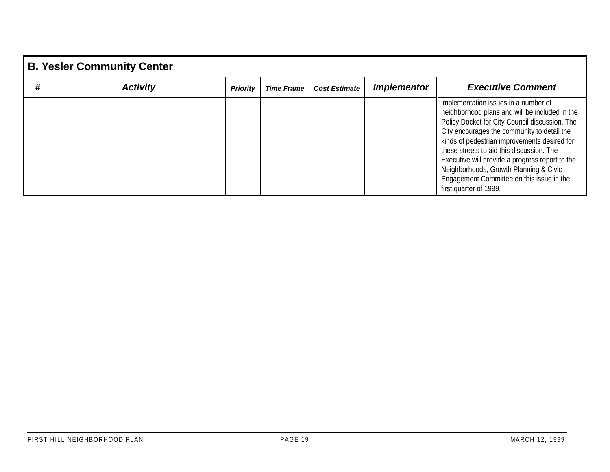|   | <b>B. Yesler Community Center</b> |                 |                   |                      |                    |                                                                                                                                                                                                                                                                                                                                                                                                                                                          |  |  |  |  |  |  |
|---|-----------------------------------|-----------------|-------------------|----------------------|--------------------|----------------------------------------------------------------------------------------------------------------------------------------------------------------------------------------------------------------------------------------------------------------------------------------------------------------------------------------------------------------------------------------------------------------------------------------------------------|--|--|--|--|--|--|
| # | <b>Activity</b>                   | <b>Priority</b> | <b>Time Frame</b> | <b>Cost Estimate</b> | <b>Implementor</b> | <b>Executive Comment</b>                                                                                                                                                                                                                                                                                                                                                                                                                                 |  |  |  |  |  |  |
|   |                                   |                 |                   |                      |                    | implementation issues in a number of<br>neighborhood plans and will be included in the<br>Policy Docket for City Council discussion. The<br>City encourages the community to detail the<br>kinds of pedestrian improvements desired for<br>these streets to aid this discussion. The<br>Executive will provide a progress report to the<br>Neighborhoods, Growth Planning & Civic<br>Engagement Committee on this issue in the<br>first quarter of 1999. |  |  |  |  |  |  |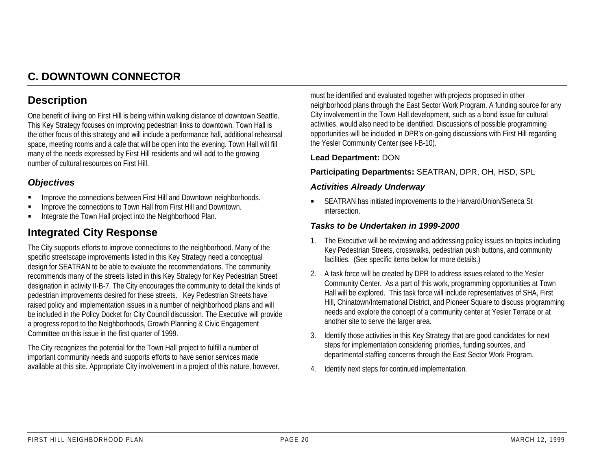# **C. DOWNTOWN CONNECTOR**

## **Description**

One benefit of living on First Hill is being within walking distance of downtown Seattle. This Key Strategy focuses on improving pedestrian links to downtown. Town Hall is the other focus of this strategy and will include a performance hall, additional rehearsal space, meeting rooms and a cafe that will be open into the evening. Town Hall will fill many of the needs expressed by First Hill residents and will add to the growing number of cultural resources on First Hill.

## *Objectives*

- "Improve the connections between First Hill and Downtown neighborhoods.
- "Improve the connections to Town Hall from First Hill and Downtown.
- "Integrate the Town Hall project into the Neighborhood Plan.

## **Integrated City Response**

The City supports efforts to improve connections to the neighborhood. Many of the specific streetscape improvements listed in this Key Strategy need a conceptual design for SEATRAN to be able to evaluate the recommendations. The community recommends many of the streets listed in this Key Strategy for Key Pedestrian Street designation in activity II-B-7. The City encourages the community to detail the kinds of pedestrian improvements desired for these streets. Key Pedestrian Streets have raised policy and implementation issues in a number of neighborhood plans and will be included in the Policy Docket for City Council discussion. The Executive will provide a progress report to the Neighborhoods, Growth Planning & Civic Engagement Committee on this issue in the first quarter of 1999.

The City recognizes the potential for the Town Hall project to fulfill a number of important community needs and supports efforts to have senior services made available at this site. Appropriate City involvement in a project of this nature, however, must be identified and evaluated together with projects proposed in other neighborhood plans through the East Sector Work Program. A funding source for any City involvement in the Town Hall development, such as a bond issue for cultural activities, would also need to be identified. Discussions of possible programming opportunities will be included in DPR's on-going discussions with First Hill regarding the Yesler Community Center (see I-B-10).

#### **Lead Department:** DON

### **Participating Departments:** SEATRAN, DPR, OH, HSD, SPL

#### *Activities Already Underway*

" SEATRAN has initiated improvements to the Harvard/Union/Seneca St intersection.

## *Tasks to be Undertaken in 1999-2000*

- 1. The Executive will be reviewing and addressing policy issues on topics including Key Pedestrian Streets, crosswalks, pedestrian push buttons, and community facilities. (See specific items below for more details.)
- 2. A task force will be created by DPR to address issues related to the Yesler Community Center. As a part of this work, programming opportunities at Town Hall will be explored. This task force will include representatives of SHA, First Hill, Chinatown/International District, and Pioneer Square to discuss programming needs and explore the concept of a community center at Yesler Terrace or at another site to serve the larger area.
- 3. Identify those activities in this Key Strategy that are good candidates for next steps for implementation considering priorities, funding sources, and departmental staffing concerns through the East Sector Work Program.
- 4. Identify next steps for continued implementation.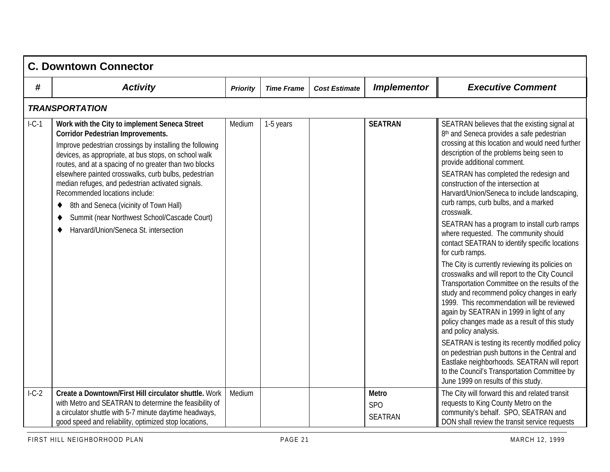|         | <b>C. Downtown Connector</b>                                                                                                                                                                                                                                                                                                                                                                                                                                                                                                                                              |                 |                   |                      |                                              |                                                                                                                                                                                                                                                                                                                                                                                                                                                                                                                                                                                                                                                                                                                                                                                                                                                                                                                                                                                                                                                                                                                                                                                                  |
|---------|---------------------------------------------------------------------------------------------------------------------------------------------------------------------------------------------------------------------------------------------------------------------------------------------------------------------------------------------------------------------------------------------------------------------------------------------------------------------------------------------------------------------------------------------------------------------------|-----------------|-------------------|----------------------|----------------------------------------------|--------------------------------------------------------------------------------------------------------------------------------------------------------------------------------------------------------------------------------------------------------------------------------------------------------------------------------------------------------------------------------------------------------------------------------------------------------------------------------------------------------------------------------------------------------------------------------------------------------------------------------------------------------------------------------------------------------------------------------------------------------------------------------------------------------------------------------------------------------------------------------------------------------------------------------------------------------------------------------------------------------------------------------------------------------------------------------------------------------------------------------------------------------------------------------------------------|
| #       | <b>Activity</b>                                                                                                                                                                                                                                                                                                                                                                                                                                                                                                                                                           | <b>Priority</b> | <b>Time Frame</b> | <b>Cost Estimate</b> | <b>Implementor</b>                           | <b>Executive Comment</b>                                                                                                                                                                                                                                                                                                                                                                                                                                                                                                                                                                                                                                                                                                                                                                                                                                                                                                                                                                                                                                                                                                                                                                         |
|         | <b>TRANSPORTATION</b>                                                                                                                                                                                                                                                                                                                                                                                                                                                                                                                                                     |                 |                   |                      |                                              |                                                                                                                                                                                                                                                                                                                                                                                                                                                                                                                                                                                                                                                                                                                                                                                                                                                                                                                                                                                                                                                                                                                                                                                                  |
| $l-C-1$ | Work with the City to implement Seneca Street<br><b>Corridor Pedestrian Improvements.</b><br>Improve pedestrian crossings by installing the following<br>devices, as appropriate, at bus stops, on school walk<br>routes, and at a spacing of no greater than two blocks<br>elsewhere painted crosswalks, curb bulbs, pedestrian<br>median refuges, and pedestrian activated signals.<br>Recommended locations include:<br>8th and Seneca (vicinity of Town Hall)<br>٠<br>Summit (near Northwest School/Cascade Court)<br>٠<br>Harvard/Union/Seneca St. intersection<br>٠ | Medium          | 1-5 years         |                      | <b>SEATRAN</b>                               | SEATRAN believes that the existing signal at<br>8th and Seneca provides a safe pedestrian<br>crossing at this location and would need further<br>description of the problems being seen to<br>provide additional comment.<br>SEATRAN has completed the redesign and<br>construction of the intersection at<br>Harvard/Union/Seneca to include landscaping,<br>curb ramps, curb bulbs, and a marked<br>crosswalk.<br>SEATRAN has a program to install curb ramps<br>where requested. The community should<br>contact SEATRAN to identify specific locations<br>for curb ramps.<br>The City is currently reviewing its policies on<br>crosswalks and will report to the City Council<br>Transportation Committee on the results of the<br>study and recommend policy changes in early<br>1999. This recommendation will be reviewed<br>again by SEATRAN in 1999 in light of any<br>policy changes made as a result of this study<br>and policy analysis.<br>SEATRAN is testing its recently modified policy<br>on pedestrian push buttons in the Central and<br>Eastlake neighborhoods. SEATRAN will report<br>to the Council's Transportation Committee by<br>June 1999 on results of this study. |
| $1-C-2$ | Create a Downtown/First Hill circulator shuttle. Work<br>with Metro and SEATRAN to determine the feasibility of<br>a circulator shuttle with 5-7 minute daytime headways,<br>good speed and reliability, optimized stop locations,                                                                                                                                                                                                                                                                                                                                        | Medium          |                   |                      | <b>Metro</b><br><b>SPO</b><br><b>SEATRAN</b> | The City will forward this and related transit<br>requests to King County Metro on the<br>community's behalf. SPO, SEATRAN and<br>DON shall review the transit service requests                                                                                                                                                                                                                                                                                                                                                                                                                                                                                                                                                                                                                                                                                                                                                                                                                                                                                                                                                                                                                  |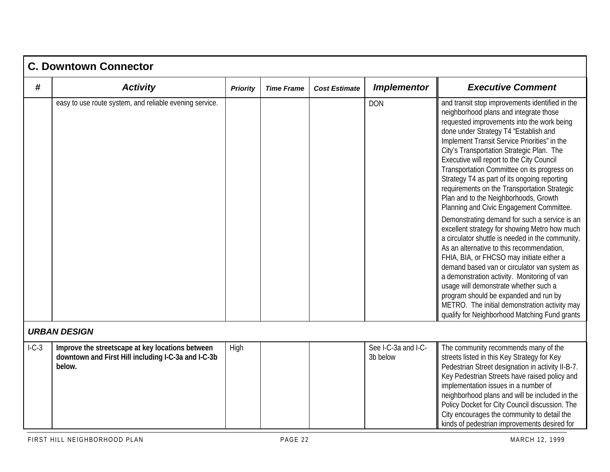|         | <b>C. Downtown Connector</b>                                                                                      |                 |                   |                      |                                 |                                                                                                                                                                                                                                                                                                                                                                                                                                                                                                                                                                                                                                                                                                                                                                                                                                                                                                                                                                                                                                                                                                   |  |  |  |  |
|---------|-------------------------------------------------------------------------------------------------------------------|-----------------|-------------------|----------------------|---------------------------------|---------------------------------------------------------------------------------------------------------------------------------------------------------------------------------------------------------------------------------------------------------------------------------------------------------------------------------------------------------------------------------------------------------------------------------------------------------------------------------------------------------------------------------------------------------------------------------------------------------------------------------------------------------------------------------------------------------------------------------------------------------------------------------------------------------------------------------------------------------------------------------------------------------------------------------------------------------------------------------------------------------------------------------------------------------------------------------------------------|--|--|--|--|
| #       | <b>Activity</b>                                                                                                   | <b>Priority</b> | <b>Time Frame</b> | <b>Cost Estimate</b> | <b>Implementor</b>              | <b>Executive Comment</b>                                                                                                                                                                                                                                                                                                                                                                                                                                                                                                                                                                                                                                                                                                                                                                                                                                                                                                                                                                                                                                                                          |  |  |  |  |
|         | easy to use route system, and reliable evening service.                                                           |                 |                   |                      | <b>DON</b>                      | and transit stop improvements identified in the<br>neighborhood plans and integrate those<br>requested improvements into the work being<br>done under Strategy T4 "Establish and<br>Implement Transit Service Priorities" in the<br>City's Transportation Strategic Plan. The<br>Executive will report to the City Council<br>Transportation Committee on its progress on<br>Strategy T4 as part of its ongoing reporting<br>requirements on the Transportation Strategic<br>Plan and to the Neighborhoods, Growth<br>Planning and Civic Engagement Committee.<br>Demonstrating demand for such a service is an<br>excellent strategy for showing Metro how much<br>a circulator shuttle is needed in the community.<br>As an alternative to this recommendation,<br>FHIA, BIA, or FHCSO may initiate either a<br>demand based van or circulator van system as<br>a demonstration activity. Monitoring of van<br>usage will demonstrate whether such a<br>program should be expanded and run by<br>METRO. The initial demonstration activity may<br>qualify for Neighborhood Matching Fund grants |  |  |  |  |
|         | <b>URBAN DESIGN</b>                                                                                               |                 |                   |                      |                                 |                                                                                                                                                                                                                                                                                                                                                                                                                                                                                                                                                                                                                                                                                                                                                                                                                                                                                                                                                                                                                                                                                                   |  |  |  |  |
| $1-C-3$ | Improve the streetscape at key locations between<br>downtown and First Hill including I-C-3a and I-C-3b<br>below. | High            |                   |                      | See I-C-3a and I-C-<br>3b below | The community recommends many of the<br>streets listed in this Key Strategy for Key<br>Pedestrian Street designation in activity II-B-7.<br>Key Pedestrian Streets have raised policy and<br>implementation issues in a number of<br>neighborhood plans and will be included in the<br>Policy Docket for City Council discussion. The<br>City encourages the community to detail the<br>kinds of pedestrian improvements desired for                                                                                                                                                                                                                                                                                                                                                                                                                                                                                                                                                                                                                                                              |  |  |  |  |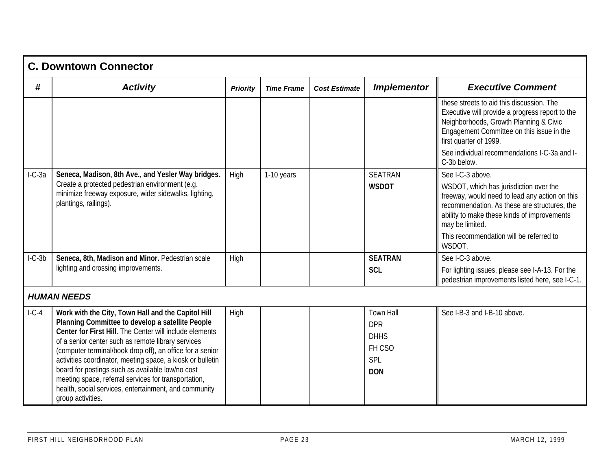|          | <b>C. Downtown Connector</b>                                                                                                                                                                                                                                                                                                                                                                                                                                                                                                                 |                 |                   |                      |                                                                              |                                                                                                                                                                                                               |  |  |  |  |  |
|----------|----------------------------------------------------------------------------------------------------------------------------------------------------------------------------------------------------------------------------------------------------------------------------------------------------------------------------------------------------------------------------------------------------------------------------------------------------------------------------------------------------------------------------------------------|-----------------|-------------------|----------------------|------------------------------------------------------------------------------|---------------------------------------------------------------------------------------------------------------------------------------------------------------------------------------------------------------|--|--|--|--|--|
| #        | <b>Activity</b>                                                                                                                                                                                                                                                                                                                                                                                                                                                                                                                              | <b>Priority</b> | <b>Time Frame</b> | <b>Cost Estimate</b> | <b>Implementor</b>                                                           | <b>Executive Comment</b>                                                                                                                                                                                      |  |  |  |  |  |
|          |                                                                                                                                                                                                                                                                                                                                                                                                                                                                                                                                              |                 |                   |                      |                                                                              | these streets to aid this discussion. The<br>Executive will provide a progress report to the<br>Neighborhoods, Growth Planning & Civic<br>Engagement Committee on this issue in the<br>first quarter of 1999. |  |  |  |  |  |
|          |                                                                                                                                                                                                                                                                                                                                                                                                                                                                                                                                              |                 |                   |                      |                                                                              | See individual recommendations I-C-3a and I-<br>C-3b below.                                                                                                                                                   |  |  |  |  |  |
| $I-C-3a$ | Seneca, Madison, 8th Ave., and Yesler Way bridges.                                                                                                                                                                                                                                                                                                                                                                                                                                                                                           | High            | 1-10 years        |                      | <b>SEATRAN</b>                                                               | See I-C-3 above.                                                                                                                                                                                              |  |  |  |  |  |
|          | Create a protected pedestrian environment (e.g.<br>minimize freeway exposure, wider sidewalks, lighting,<br>plantings, railings).                                                                                                                                                                                                                                                                                                                                                                                                            |                 |                   |                      | <b>WSDOT</b>                                                                 | WSDOT, which has jurisdiction over the<br>freeway, would need to lead any action on this<br>recommendation. As these are structures, the<br>ability to make these kinds of improvements<br>may be limited.    |  |  |  |  |  |
|          |                                                                                                                                                                                                                                                                                                                                                                                                                                                                                                                                              |                 |                   |                      |                                                                              | This recommendation will be referred to<br>WSDOT.                                                                                                                                                             |  |  |  |  |  |
| $I-C-3b$ | Seneca, 8th, Madison and Minor. Pedestrian scale                                                                                                                                                                                                                                                                                                                                                                                                                                                                                             | High            |                   |                      | <b>SEATRAN</b>                                                               | See I-C-3 above.                                                                                                                                                                                              |  |  |  |  |  |
|          | lighting and crossing improvements.                                                                                                                                                                                                                                                                                                                                                                                                                                                                                                          |                 |                   |                      | <b>SCL</b>                                                                   | For lighting issues, please see I-A-13. For the<br>pedestrian improvements listed here, see I-C-1.                                                                                                            |  |  |  |  |  |
|          | <b>HUMAN NEEDS</b>                                                                                                                                                                                                                                                                                                                                                                                                                                                                                                                           |                 |                   |                      |                                                                              |                                                                                                                                                                                                               |  |  |  |  |  |
| $l-C-4$  | Work with the City, Town Hall and the Capitol Hill<br>Planning Committee to develop a satellite People<br>Center for First Hill. The Center will include elements<br>of a senior center such as remote library services<br>(computer terminal/book drop off), an office for a senior<br>activities coordinator, meeting space, a kiosk or bulletin<br>board for postings such as available low/no cost<br>meeting space, referral services for transportation,<br>health, social services, entertainment, and community<br>group activities. | High            |                   |                      | <b>Town Hall</b><br><b>DPR</b><br><b>DHHS</b><br>FH CSO<br>SPL<br><b>DON</b> | See I-B-3 and I-B-10 above.                                                                                                                                                                                   |  |  |  |  |  |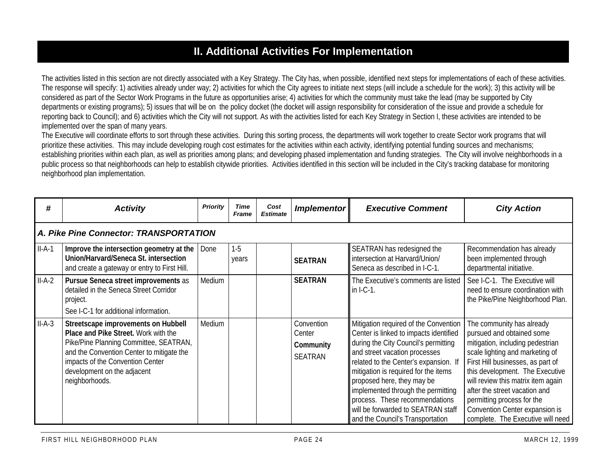# **II. Additional Activities For Implementation**

The activities listed in this section are not directly associated with a Key Strategy. The City has, when possible, identified next steps for implementations of each of these activities. The response will specify: 1) activities already under way; 2) activities for which the City agrees to initiate next steps (will include a schedule for the work); 3) this activity will be considered as part of the Sector Work Programs in the future as opportunities arise; 4) activities for which the community must take the lead (may be supported by City departments or existing programs); 5) issues that will be on the policy docket (the docket will assign responsibility for consideration of the issue and provide a schedule for reporting back to Council); and 6) activities which the City will not support. As with the activities listed for each Key Strategy in Section I, these activities are intended to be implemented over the span of many years.

The Executive will coordinate efforts to sort through these activities. During this sorting process, the departments will work together to create Sector work programs that will prioritize these activities. This may include developing rough cost estimates for the activities within each activity, identifying potential funding sources and mechanisms; establishing priorities within each plan, as well as priorities among plans; and developing phased implementation and funding strategies. The City will involve neighborhoods in a public process so that neighborhoods can help to establish citywide priorities. Activities identified in this section will be included in the City's tracking database for monitoring neighborhood plan implementation.

| #        | <b>Activity</b>                                                                                                                                                                                                                                         | <b>Priority</b> | <b>Time</b><br><b>Frame</b> | Cost<br><b>Estimate</b> | Implementor                                         | <b>Executive Comment</b>                                                                                                                                                                                                                                                                                                                                                                                                  | <b>City Action</b>                                                                                                                                                                                                                                                                                                                                                                |  |  |  |  |  |  |
|----------|---------------------------------------------------------------------------------------------------------------------------------------------------------------------------------------------------------------------------------------------------------|-----------------|-----------------------------|-------------------------|-----------------------------------------------------|---------------------------------------------------------------------------------------------------------------------------------------------------------------------------------------------------------------------------------------------------------------------------------------------------------------------------------------------------------------------------------------------------------------------------|-----------------------------------------------------------------------------------------------------------------------------------------------------------------------------------------------------------------------------------------------------------------------------------------------------------------------------------------------------------------------------------|--|--|--|--|--|--|
|          | A. Pike Pine Connector: TRANSPORTATION                                                                                                                                                                                                                  |                 |                             |                         |                                                     |                                                                                                                                                                                                                                                                                                                                                                                                                           |                                                                                                                                                                                                                                                                                                                                                                                   |  |  |  |  |  |  |
| $II-A-1$ | Improve the intersection geometry at the<br>Union/Harvard/Seneca St. intersection<br>and create a gateway or entry to First Hill.                                                                                                                       | Done            | $1 - 5$<br>years            |                         | <b>SEATRAN</b>                                      | SEATRAN has redesigned the<br>intersection at Harvard/Union/<br>Seneca as described in I-C-1.                                                                                                                                                                                                                                                                                                                             | Recommendation has already<br>been implemented through<br>departmental initiative.                                                                                                                                                                                                                                                                                                |  |  |  |  |  |  |
| $II-A-2$ | Pursue Seneca street improvements as<br>detailed in the Seneca Street Corridor<br>project.<br>See I-C-1 for additional information.                                                                                                                     | Medium          |                             |                         | <b>SEATRAN</b>                                      | The Executive's comments are listed<br>$in I-C-1.$                                                                                                                                                                                                                                                                                                                                                                        | See I-C-1. The Executive will<br>need to ensure coordination with<br>the Pike/Pine Neighborhood Plan.                                                                                                                                                                                                                                                                             |  |  |  |  |  |  |
| $II-A-3$ | Streetscape improvements on Hubbell<br>Place and Pike Street. Work with the<br>Pike/Pine Planning Committee, SEATRAN,<br>and the Convention Center to mitigate the<br>impacts of the Convention Center<br>development on the adjacent<br>neighborhoods. | Medium          |                             |                         | Convention<br>Center<br>Community<br><b>SEATRAN</b> | Mitigation required of the Convention<br>Center is linked to impacts identified<br>during the City Council's permitting<br>and street vacation processes<br>related to the Center's expansion. If<br>mitigation is required for the items<br>proposed here, they may be<br>implemented through the permitting<br>process. These recommendations<br>will be forwarded to SEATRAN staff<br>and the Council's Transportation | The community has already<br>pursued and obtained some<br>mitigation, including pedestrian<br>scale lighting and marketing of<br>First Hill businesses, as part of<br>this development. The Executive<br>will review this matrix item again<br>after the street vacation and<br>permitting process for the<br>Convention Center expansion is<br>complete. The Executive will need |  |  |  |  |  |  |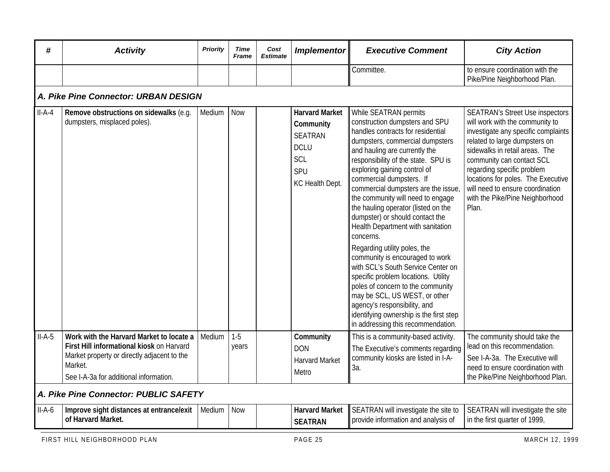| #        | <b>Activity</b>                                                                                                                                                                           | <b>Priority</b> | <b>Time</b><br>Frame | Cost<br><b>Estimate</b> | <b>Implementor</b>                                                                                   | <b>Executive Comment</b>                                                                                                                                                                                                                                                                                                                                                                                                                                                                                                                                                                                                                                                                                                                                                                                           | <b>City Action</b>                                                                                                                                                                                                                                                                                                                                                   |
|----------|-------------------------------------------------------------------------------------------------------------------------------------------------------------------------------------------|-----------------|----------------------|-------------------------|------------------------------------------------------------------------------------------------------|--------------------------------------------------------------------------------------------------------------------------------------------------------------------------------------------------------------------------------------------------------------------------------------------------------------------------------------------------------------------------------------------------------------------------------------------------------------------------------------------------------------------------------------------------------------------------------------------------------------------------------------------------------------------------------------------------------------------------------------------------------------------------------------------------------------------|----------------------------------------------------------------------------------------------------------------------------------------------------------------------------------------------------------------------------------------------------------------------------------------------------------------------------------------------------------------------|
|          |                                                                                                                                                                                           |                 |                      |                         |                                                                                                      | Committee.                                                                                                                                                                                                                                                                                                                                                                                                                                                                                                                                                                                                                                                                                                                                                                                                         | to ensure coordination with the<br>Pike/Pine Neighborhood Plan.                                                                                                                                                                                                                                                                                                      |
|          | A. Pike Pine Connector: URBAN DESIGN                                                                                                                                                      |                 |                      |                         |                                                                                                      |                                                                                                                                                                                                                                                                                                                                                                                                                                                                                                                                                                                                                                                                                                                                                                                                                    |                                                                                                                                                                                                                                                                                                                                                                      |
| $II-A-4$ | Remove obstructions on sidewalks (e.g.<br>dumpsters, misplaced poles).                                                                                                                    | Medium          | <b>Now</b>           |                         | <b>Harvard Market</b><br>Community<br><b>SEATRAN</b><br><b>DCLU</b><br>SCL<br>SPU<br>KC Health Dept. | While SEATRAN permits<br>construction dumpsters and SPU<br>handles contracts for residential<br>dumpsters, commercial dumpsters<br>and hauling are currently the<br>responsibility of the state. SPU is<br>exploring gaining control of<br>commercial dumpsters. If<br>commercial dumpsters are the issue,<br>the community will need to engage<br>the hauling operator (listed on the<br>dumpster) or should contact the<br>Health Department with sanitation<br>concerns.<br>Regarding utility poles, the<br>community is encouraged to work<br>with SCL's South Service Center on<br>specific problem locations. Utility<br>poles of concern to the community<br>may be SCL, US WEST, or other<br>agency's responsibility, and<br>identifying ownership is the first step<br>in addressing this recommendation. | <b>SEATRAN's Street Use inspectors</b><br>will work with the community to<br>investigate any specific complaints<br>related to large dumpsters on<br>sidewalks in retail areas. The<br>community can contact SCL<br>regarding specific problem<br>locations for poles. The Executive<br>will need to ensure coordination<br>with the Pike/Pine Neighborhood<br>Plan. |
| $II-A-5$ | Work with the Harvard Market to locate a<br>First Hill informational kiosk on Harvard<br>Market property or directly adjacent to the<br>Market.<br>See I-A-3a for additional information. | Medium          | $1-5$<br>years       |                         | Community<br><b>DON</b><br><b>Harvard Market</b><br>Metro                                            | This is a community-based activity.<br>The Executive's comments regarding<br>community kiosks are listed in I-A-<br>3а.                                                                                                                                                                                                                                                                                                                                                                                                                                                                                                                                                                                                                                                                                            | The community should take the<br>lead on this recommendation.<br>See I-A-3a. The Executive will<br>need to ensure coordination with<br>the Pike/Pine Neighborhood Plan.                                                                                                                                                                                              |
|          | A. Pike Pine Connector: PUBLIC SAFETY                                                                                                                                                     |                 |                      |                         |                                                                                                      |                                                                                                                                                                                                                                                                                                                                                                                                                                                                                                                                                                                                                                                                                                                                                                                                                    |                                                                                                                                                                                                                                                                                                                                                                      |
| $II-A-6$ | Improve sight distances at entrance/exit<br>of Harvard Market.                                                                                                                            | Medium          | <b>Now</b>           |                         | <b>Harvard Market</b><br><b>SEATRAN</b>                                                              | SEATRAN will investigate the site to<br>provide information and analysis of                                                                                                                                                                                                                                                                                                                                                                                                                                                                                                                                                                                                                                                                                                                                        | SEATRAN will investigate the site<br>in the first quarter of 1999,                                                                                                                                                                                                                                                                                                   |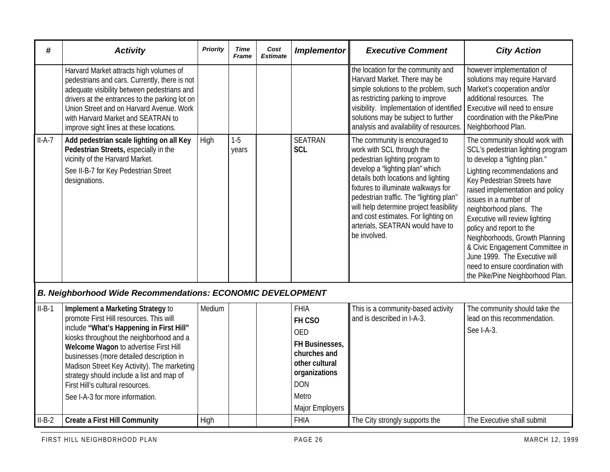| #        | <b>Activity</b>                                                                                                                                                                                                                                                                                                                                                                                                              | <b>Priority</b> | <b>Time</b><br>Frame | Cost<br><b>Estimate</b> | <b>Implementor</b>                                                                                                                                 | <b>Executive Comment</b>                                                                                                                                                                                                                                                                                                                                                                        | <b>City Action</b>                                                                                                                                                                                                                                                                                                                                                                                                                                                                                      |
|----------|------------------------------------------------------------------------------------------------------------------------------------------------------------------------------------------------------------------------------------------------------------------------------------------------------------------------------------------------------------------------------------------------------------------------------|-----------------|----------------------|-------------------------|----------------------------------------------------------------------------------------------------------------------------------------------------|-------------------------------------------------------------------------------------------------------------------------------------------------------------------------------------------------------------------------------------------------------------------------------------------------------------------------------------------------------------------------------------------------|---------------------------------------------------------------------------------------------------------------------------------------------------------------------------------------------------------------------------------------------------------------------------------------------------------------------------------------------------------------------------------------------------------------------------------------------------------------------------------------------------------|
|          | Harvard Market attracts high volumes of<br>pedestrians and cars. Currently, there is not<br>adequate visibility between pedestrians and<br>drivers at the entrances to the parking lot on<br>Union Street and on Harvard Avenue. Work<br>with Harvard Market and SEATRAN to<br>improve sight lines at these locations.                                                                                                       |                 |                      |                         |                                                                                                                                                    | the location for the community and<br>Harvard Market. There may be<br>simple solutions to the problem, such<br>as restricting parking to improve<br>visibility. Implementation of identified<br>solutions may be subject to further<br>analysis and availability of resources.                                                                                                                  | however implementation of<br>solutions may require Harvard<br>Market's cooperation and/or<br>additional resources. The<br>Executive will need to ensure<br>coordination with the Pike/Pine<br>Neighborhood Plan.                                                                                                                                                                                                                                                                                        |
| $II-A-7$ | Add pedestrian scale lighting on all Key<br>Pedestrian Streets, especially in the<br>vicinity of the Harvard Market.<br>See II-B-7 for Key Pedestrian Street<br>designations.                                                                                                                                                                                                                                                | High            | $1-5$<br>years       |                         | <b>SEATRAN</b><br><b>SCL</b>                                                                                                                       | The community is encouraged to<br>work with SCL through the<br>pedestrian lighting program to<br>develop a "lighting plan" which<br>details both locations and lighting<br>fixtures to illuminate walkways for<br>pedestrian traffic. The "lighting plan"<br>will help determine project feasibility<br>and cost estimates. For lighting on<br>arterials, SEATRAN would have to<br>be involved. | The community should work with<br>SCL's pedestrian lighting program<br>to develop a "lighting plan."<br>Lighting recommendations and<br>Key Pedestrian Streets have<br>raised implementation and policy<br>issues in a number of<br>neighborhood plans. The<br>Executive will review lighting<br>policy and report to the<br>Neighborhoods, Growth Planning<br>& Civic Engagement Committee in<br>June 1999. The Executive will<br>need to ensure coordination with<br>the Pike/Pine Neighborhood Plan. |
|          | <b>B. Neighborhood Wide Recommendations: ECONOMIC DEVELOPMENT</b>                                                                                                                                                                                                                                                                                                                                                            |                 |                      |                         |                                                                                                                                                    |                                                                                                                                                                                                                                                                                                                                                                                                 |                                                                                                                                                                                                                                                                                                                                                                                                                                                                                                         |
| $II-B-1$ | Implement a Marketing Strategy to<br>promote First Hill resources. This will<br>include "What's Happening in First Hill"<br>kiosks throughout the neighborhood and a<br>Welcome Wagon to advertise First Hill<br>businesses (more detailed description in<br>Madison Street Key Activity). The marketing<br>strategy should include a list and map of<br>First Hill's cultural resources.<br>See I-A-3 for more information. | Medium          |                      |                         | <b>FHIA</b><br>FH CSO<br><b>OED</b><br>FH Businesses,<br>churches and<br>other cultural<br>organizations<br><b>DON</b><br>Metro<br>Major Employers | This is a community-based activity<br>and is described in I-A-3.                                                                                                                                                                                                                                                                                                                                | The community should take the<br>lead on this recommendation.<br>See I-A-3.                                                                                                                                                                                                                                                                                                                                                                                                                             |
| $II-B-2$ | <b>Create a First Hill Community</b>                                                                                                                                                                                                                                                                                                                                                                                         | High            |                      |                         | <b>FHIA</b>                                                                                                                                        | The City strongly supports the                                                                                                                                                                                                                                                                                                                                                                  | The Executive shall submit                                                                                                                                                                                                                                                                                                                                                                                                                                                                              |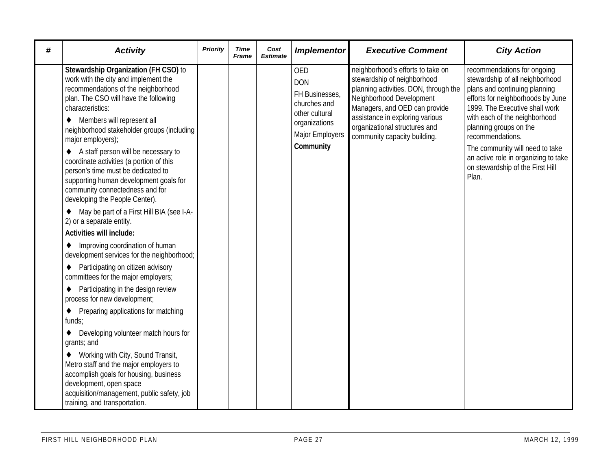| # | <b>Activity</b>                                                                                                                                                                                                                                                                                                                                                                                                                                                                                                                                                                                                                                                                                                                                                                                                                                                                                                                               | <b>Priority</b> | <b>Time</b><br>Frame | Cost<br><b>Estimate</b> | <b>Implementor</b>                                                                                                            | <b>Executive Comment</b>                                                                                                                                                                                                                                                   | <b>City Action</b>                                                                                                                                                                                                                                                                                                                                                            |
|---|-----------------------------------------------------------------------------------------------------------------------------------------------------------------------------------------------------------------------------------------------------------------------------------------------------------------------------------------------------------------------------------------------------------------------------------------------------------------------------------------------------------------------------------------------------------------------------------------------------------------------------------------------------------------------------------------------------------------------------------------------------------------------------------------------------------------------------------------------------------------------------------------------------------------------------------------------|-----------------|----------------------|-------------------------|-------------------------------------------------------------------------------------------------------------------------------|----------------------------------------------------------------------------------------------------------------------------------------------------------------------------------------------------------------------------------------------------------------------------|-------------------------------------------------------------------------------------------------------------------------------------------------------------------------------------------------------------------------------------------------------------------------------------------------------------------------------------------------------------------------------|
|   | Stewardship Organization (FH CSO) to<br>work with the city and implement the<br>recommendations of the neighborhood<br>plan. The CSO will have the following<br>characteristics:<br>Members will represent all<br>٠<br>neighborhood stakeholder groups (including<br>major employers);<br>A staff person will be necessary to<br>coordinate activities (a portion of this<br>person's time must be dedicated to<br>supporting human development goals for<br>community connectedness and for<br>developing the People Center).<br>May be part of a First Hill BIA (see I-A-<br>2) or a separate entity.<br><b>Activities will include:</b><br>Improving coordination of human<br>٠<br>development services for the neighborhood;<br>Participating on citizen advisory<br>committees for the major employers;<br>Participating in the design review<br>٠<br>process for new development;<br>Preparing applications for matching<br>٠<br>funds; |                 |                      |                         | <b>OED</b><br><b>DON</b><br>FH Businesses,<br>churches and<br>other cultural<br>organizations<br>Major Employers<br>Community | neighborhood's efforts to take on<br>stewardship of neighborhood<br>planning activities. DON, through the<br>Neighborhood Development<br>Managers, and OED can provide<br>assistance in exploring various<br>organizational structures and<br>community capacity building. | recommendations for ongoing<br>stewardship of all neighborhood<br>plans and continuing planning<br>efforts for neighborhoods by June<br>1999. The Executive shall work<br>with each of the neighborhood<br>planning groups on the<br>recommendations.<br>The community will need to take<br>an active role in organizing to take<br>on stewardship of the First Hill<br>Plan. |
|   | Developing volunteer match hours for<br>grants; and                                                                                                                                                                                                                                                                                                                                                                                                                                                                                                                                                                                                                                                                                                                                                                                                                                                                                           |                 |                      |                         |                                                                                                                               |                                                                                                                                                                                                                                                                            |                                                                                                                                                                                                                                                                                                                                                                               |
|   | Working with City, Sound Transit,<br>Metro staff and the major employers to<br>accomplish goals for housing, business<br>development, open space<br>acquisition/management, public safety, job<br>training, and transportation.                                                                                                                                                                                                                                                                                                                                                                                                                                                                                                                                                                                                                                                                                                               |                 |                      |                         |                                                                                                                               |                                                                                                                                                                                                                                                                            |                                                                                                                                                                                                                                                                                                                                                                               |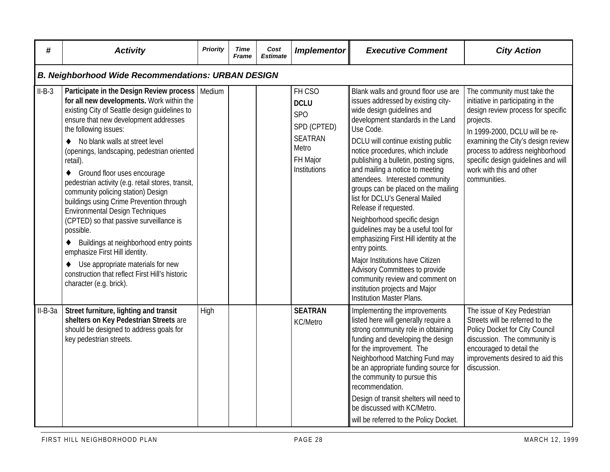| #         | <b>Activity</b>                                                                                                                                                                                                                                                                                                                                                                                                                                                                                                                                                                                                                                                                                                                                                                                                   | Priority | Time<br>Frame | Cost<br><b>Estimate</b> | <b>Implementor</b>                                                                                        | <b>Executive Comment</b>                                                                                                                                                                                                                                                                                                                                                                                                                                                                                                                                                                                                                                                                                                                                              | <b>City Action</b>                                                                                                                                                                                                                                                                                                 |
|-----------|-------------------------------------------------------------------------------------------------------------------------------------------------------------------------------------------------------------------------------------------------------------------------------------------------------------------------------------------------------------------------------------------------------------------------------------------------------------------------------------------------------------------------------------------------------------------------------------------------------------------------------------------------------------------------------------------------------------------------------------------------------------------------------------------------------------------|----------|---------------|-------------------------|-----------------------------------------------------------------------------------------------------------|-----------------------------------------------------------------------------------------------------------------------------------------------------------------------------------------------------------------------------------------------------------------------------------------------------------------------------------------------------------------------------------------------------------------------------------------------------------------------------------------------------------------------------------------------------------------------------------------------------------------------------------------------------------------------------------------------------------------------------------------------------------------------|--------------------------------------------------------------------------------------------------------------------------------------------------------------------------------------------------------------------------------------------------------------------------------------------------------------------|
|           | <b>B. Neighborhood Wide Recommendations: URBAN DESIGN</b>                                                                                                                                                                                                                                                                                                                                                                                                                                                                                                                                                                                                                                                                                                                                                         |          |               |                         |                                                                                                           |                                                                                                                                                                                                                                                                                                                                                                                                                                                                                                                                                                                                                                                                                                                                                                       |                                                                                                                                                                                                                                                                                                                    |
| $II-B-3$  | Participate in the Design Review process<br>for all new developments. Work within the<br>existing City of Seattle design guidelines to<br>ensure that new development addresses<br>the following issues:<br>No blank walls at street level<br>(openings, landscaping, pedestrian oriented<br>retail).<br>Ground floor uses encourage<br>$\bullet$<br>pedestrian activity (e.g. retail stores, transit,<br>community policing station) Design<br>buildings using Crime Prevention through<br><b>Environmental Design Techniques</b><br>(CPTED) so that passive surveillance is<br>possible.<br>Buildings at neighborhood entry points<br>٠<br>emphasize First Hill identity.<br>Use appropriate materials for new<br>$\blacklozenge$<br>construction that reflect First Hill's historic<br>character (e.g. brick). | Medium   |               |                         | FH CSO<br><b>DCLU</b><br><b>SPO</b><br>SPD (CPTED)<br><b>SEATRAN</b><br>Metro<br>FH Major<br>Institutions | Blank walls and ground floor use are<br>issues addressed by existing city-<br>wide design guidelines and<br>development standards in the Land<br>Use Code.<br>DCLU will continue existing public<br>notice procedures, which include<br>publishing a bulletin, posting signs,<br>and mailing a notice to meeting<br>attendees. Interested community<br>groups can be placed on the mailing<br>list for DCLU's General Mailed<br>Release if requested.<br>Neighborhood specific design<br>guidelines may be a useful tool for<br>emphasizing First Hill identity at the<br>entry points.<br>Major Institutions have Citizen<br>Advisory Committees to provide<br>community review and comment on<br>institution projects and Major<br><b>Institution Master Plans.</b> | The community must take the<br>initiative in participating in the<br>design review process for specific<br>projects.<br>In 1999-2000, DCLU will be re-<br>examining the City's design review<br>process to address neighborhood<br>specific design guidelines and will<br>work with this and other<br>communities. |
| $II-B-3a$ | Street furniture, lighting and transit<br>shelters on Key Pedestrian Streets are<br>should be designed to address goals for<br>key pedestrian streets.                                                                                                                                                                                                                                                                                                                                                                                                                                                                                                                                                                                                                                                            | High     |               |                         | <b>SEATRAN</b><br>KC/Metro                                                                                | Implementing the improvements<br>listed here will generally require a<br>strong community role in obtaining<br>funding and developing the design<br>for the improvement. The<br>Neighborhood Matching Fund may<br>be an appropriate funding source for<br>the community to pursue this<br>recommendation.<br>Design of transit shelters will need to<br>be discussed with KC/Metro.<br>will be referred to the Policy Docket.                                                                                                                                                                                                                                                                                                                                         | The issue of Key Pedestrian<br>Streets will be referred to the<br>Policy Docket for City Council<br>discussion. The community is<br>encouraged to detail the<br>improvements desired to aid this<br>discussion.                                                                                                    |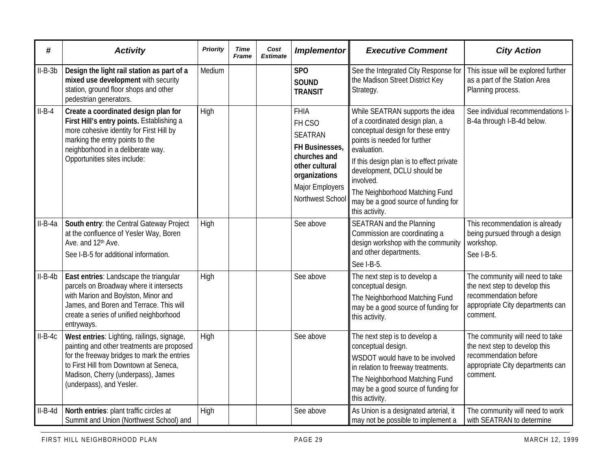| #         | <b>Activity</b>                                                                                                                                                                                                                                     | <b>Priority</b> | Time<br><b>Frame</b> | Cost<br><b>Estimate</b> | <b>Implementor</b>                                                                                                                                  | <b>Executive Comment</b>                                                                                                                                                                                                                                                                                                                  | <b>City Action</b>                                                                                                                        |
|-----------|-----------------------------------------------------------------------------------------------------------------------------------------------------------------------------------------------------------------------------------------------------|-----------------|----------------------|-------------------------|-----------------------------------------------------------------------------------------------------------------------------------------------------|-------------------------------------------------------------------------------------------------------------------------------------------------------------------------------------------------------------------------------------------------------------------------------------------------------------------------------------------|-------------------------------------------------------------------------------------------------------------------------------------------|
| $II-B-3b$ | Design the light rail station as part of a<br>mixed use development with security<br>station, ground floor shops and other<br>pedestrian generators.                                                                                                | Medium          |                      |                         | SP <sub>O</sub><br><b>SOUND</b><br><b>TRANSIT</b>                                                                                                   | See the Integrated City Response for<br>the Madison Street District Key<br>Strategy.                                                                                                                                                                                                                                                      | This issue will be explored further<br>as a part of the Station Area<br>Planning process.                                                 |
| $II-B-4$  | Create a coordinated design plan for<br>First Hill's entry points. Establishing a<br>more cohesive identity for First Hill by<br>marking the entry points to the<br>neighborhood in a deliberate way.<br>Opportunities sites include:               | High            |                      |                         | <b>FHIA</b><br>FH CSO<br><b>SEATRAN</b><br>FH Businesses,<br>churches and<br>other cultural<br>organizations<br>Major Employers<br>Northwest School | While SEATRAN supports the idea<br>of a coordinated design plan, a<br>conceptual design for these entry<br>points is needed for further<br>evaluation.<br>If this design plan is to effect private<br>development, DCLU should be<br>involved.<br>The Neighborhood Matching Fund<br>may be a good source of funding for<br>this activity. | See individual recommendations I-<br>B-4a through I-B-4d below.                                                                           |
| $II-B-4a$ | South entry: the Central Gateway Project<br>at the confluence of Yesler Way, Boren<br>Ave. and 12 <sup>th</sup> Ave.<br>See I-B-5 for additional information.                                                                                       | High            |                      |                         | See above                                                                                                                                           | <b>SEATRAN and the Planning</b><br>Commission are coordinating a<br>design workshop with the community<br>and other departments.<br>See I-B-5.                                                                                                                                                                                            | This recommendation is already<br>being pursued through a design<br>workshop.<br>See I-B-5.                                               |
| $II-B-4b$ | East entries: Landscape the triangular<br>parcels on Broadway where it intersects<br>with Marion and Boylston, Minor and<br>James, and Boren and Terrace. This will<br>create a series of unified neighborhood<br>entryways.                        | High            |                      |                         | See above                                                                                                                                           | The next step is to develop a<br>conceptual design.<br>The Neighborhood Matching Fund<br>may be a good source of funding for<br>this activity.                                                                                                                                                                                            | The community will need to take<br>the next step to develop this<br>recommendation before<br>appropriate City departments can<br>comment. |
| $II-B-4C$ | West entries: Lighting, railings, signage,<br>painting and other treatments are proposed<br>for the freeway bridges to mark the entries<br>to First Hill from Downtown at Seneca,<br>Madison, Cherry (underpass), James<br>(underpass), and Yesler. | High            |                      |                         | See above                                                                                                                                           | The next step is to develop a<br>conceptual design.<br>WSDOT would have to be involved<br>in relation to freeway treatments.<br>The Neighborhood Matching Fund<br>may be a good source of funding for<br>this activity.                                                                                                                   | The community will need to take<br>the next step to develop this<br>recommendation before<br>appropriate City departments can<br>comment. |
| $II-B-4d$ | North entries: plant traffic circles at<br>Summit and Union (Northwest School) and                                                                                                                                                                  | High            |                      |                         | See above                                                                                                                                           | As Union is a designated arterial, it<br>may not be possible to implement a                                                                                                                                                                                                                                                               | The community will need to work<br>with SEATRAN to determine                                                                              |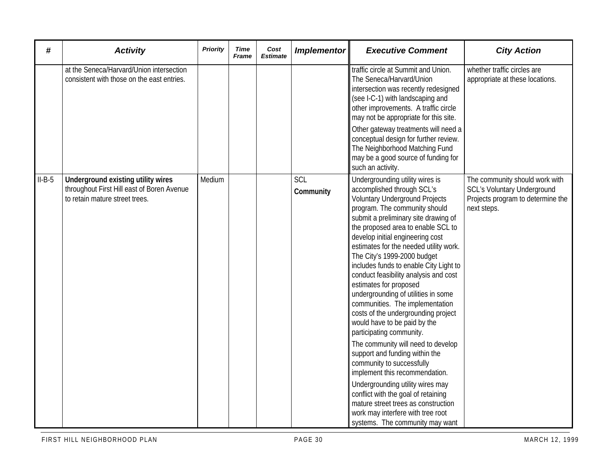| #        | <b>Activity</b>                                                                                                    | <b>Priority</b> | Time<br><b>Frame</b> | Cost<br><b>Estimate</b> | <b>Implementor</b>      | <b>Executive Comment</b>                                                                                                                                                                                                                                                                                                                                                                                                                                                                                                                                                                                                                                                                                                                                                                                                                                                                                                                                      | <b>City Action</b>                                                                                                       |
|----------|--------------------------------------------------------------------------------------------------------------------|-----------------|----------------------|-------------------------|-------------------------|---------------------------------------------------------------------------------------------------------------------------------------------------------------------------------------------------------------------------------------------------------------------------------------------------------------------------------------------------------------------------------------------------------------------------------------------------------------------------------------------------------------------------------------------------------------------------------------------------------------------------------------------------------------------------------------------------------------------------------------------------------------------------------------------------------------------------------------------------------------------------------------------------------------------------------------------------------------|--------------------------------------------------------------------------------------------------------------------------|
|          | at the Seneca/Harvard/Union intersection<br>consistent with those on the east entries.                             |                 |                      |                         |                         | traffic circle at Summit and Union.<br>The Seneca/Harvard/Union<br>intersection was recently redesigned<br>(see I-C-1) with landscaping and<br>other improvements. A traffic circle<br>may not be appropriate for this site.<br>Other gateway treatments will need a<br>conceptual design for further review.<br>The Neighborhood Matching Fund<br>may be a good source of funding for<br>such an activity.                                                                                                                                                                                                                                                                                                                                                                                                                                                                                                                                                   | whether traffic circles are<br>appropriate at these locations.                                                           |
| $II-B-5$ | Underground existing utility wires<br>throughout First Hill east of Boren Avenue<br>to retain mature street trees. | Medium          |                      |                         | <b>SCL</b><br>Community | Undergrounding utility wires is<br>accomplished through SCL's<br><b>Voluntary Underground Projects</b><br>program. The community should<br>submit a preliminary site drawing of<br>the proposed area to enable SCL to<br>develop initial engineering cost<br>estimates for the needed utility work.<br>The City's 1999-2000 budget<br>includes funds to enable City Light to<br>conduct feasibility analysis and cost<br>estimates for proposed<br>undergrounding of utilities in some<br>communities. The implementation<br>costs of the undergrounding project<br>would have to be paid by the<br>participating community.<br>The community will need to develop<br>support and funding within the<br>community to successfully<br>implement this recommendation.<br>Undergrounding utility wires may<br>conflict with the goal of retaining<br>mature street trees as construction<br>work may interfere with tree root<br>systems. The community may want | The community should work with<br><b>SCL's Voluntary Underground</b><br>Projects program to determine the<br>next steps. |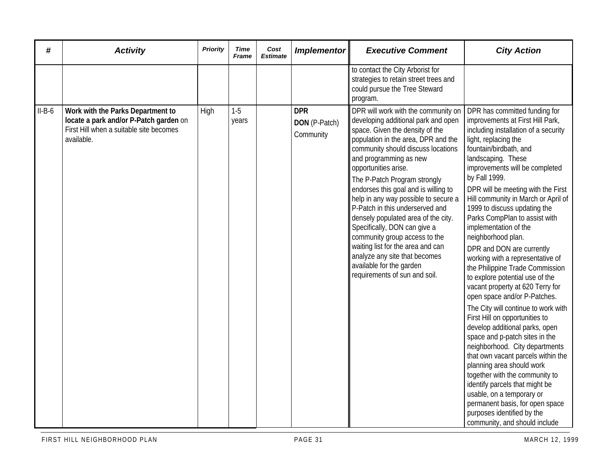| #        | <b>Activity</b>                                                                                                                      | <b>Priority</b> | Time<br><b>Frame</b> | Cost<br><b>Estimate</b> | <b>Implementor</b>                       | <b>Executive Comment</b>                                                                                                                                                                                                                                                                                                                                                                                                                                                                                                                                                                                                                   | <b>City Action</b>                                                                                                                                                                                                                                                                                                                                                                                                                                                                                                                                                                                                                                                                                                                                                                                                                                                                                                                                                                                                                                                                                |
|----------|--------------------------------------------------------------------------------------------------------------------------------------|-----------------|----------------------|-------------------------|------------------------------------------|--------------------------------------------------------------------------------------------------------------------------------------------------------------------------------------------------------------------------------------------------------------------------------------------------------------------------------------------------------------------------------------------------------------------------------------------------------------------------------------------------------------------------------------------------------------------------------------------------------------------------------------------|---------------------------------------------------------------------------------------------------------------------------------------------------------------------------------------------------------------------------------------------------------------------------------------------------------------------------------------------------------------------------------------------------------------------------------------------------------------------------------------------------------------------------------------------------------------------------------------------------------------------------------------------------------------------------------------------------------------------------------------------------------------------------------------------------------------------------------------------------------------------------------------------------------------------------------------------------------------------------------------------------------------------------------------------------------------------------------------------------|
|          |                                                                                                                                      |                 |                      |                         |                                          | to contact the City Arborist for<br>strategies to retain street trees and<br>could pursue the Tree Steward<br>program.                                                                                                                                                                                                                                                                                                                                                                                                                                                                                                                     |                                                                                                                                                                                                                                                                                                                                                                                                                                                                                                                                                                                                                                                                                                                                                                                                                                                                                                                                                                                                                                                                                                   |
| $II-B-6$ | Work with the Parks Department to<br>locate a park and/or P-Patch garden on<br>First Hill when a suitable site becomes<br>available. | High            | $1-5$<br>years       |                         | <b>DPR</b><br>DON (P-Patch)<br>Community | DPR will work with the community on<br>developing additional park and open<br>space. Given the density of the<br>population in the area, DPR and the<br>community should discuss locations<br>and programming as new<br>opportunities arise.<br>The P-Patch Program strongly<br>endorses this goal and is willing to<br>help in any way possible to secure a<br>P-Patch in this underserved and<br>densely populated area of the city.<br>Specifically, DON can give a<br>community group access to the<br>waiting list for the area and can<br>analyze any site that becomes<br>available for the garden<br>requirements of sun and soil. | DPR has committed funding for<br>improvements at First Hill Park,<br>including installation of a security<br>light, replacing the<br>fountain/birdbath, and<br>landscaping. These<br>improvements will be completed<br>by Fall 1999.<br>DPR will be meeting with the First<br>Hill community in March or April of<br>1999 to discuss updating the<br>Parks CompPlan to assist with<br>implementation of the<br>neighborhood plan.<br>DPR and DON are currently<br>working with a representative of<br>the Philippine Trade Commission<br>to explore potential use of the<br>vacant property at 620 Terry for<br>open space and/or P-Patches.<br>The City will continue to work with<br>First Hill on opportunities to<br>develop additional parks, open<br>space and p-patch sites in the<br>neighborhood. City departments<br>that own vacant parcels within the<br>planning area should work<br>together with the community to<br>identify parcels that might be<br>usable, on a temporary or<br>permanent basis, for open space<br>purposes identified by the<br>community, and should include |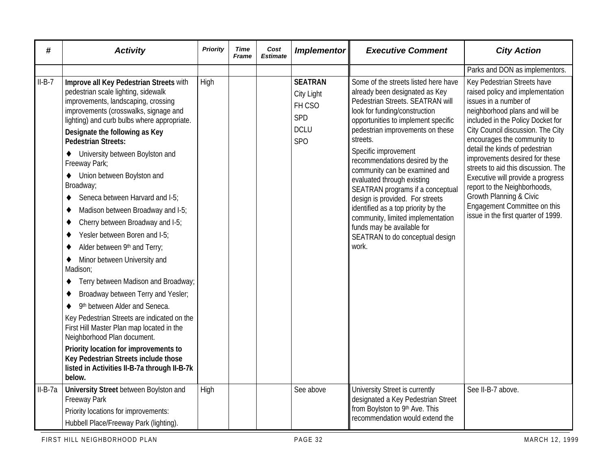| #         | <b>Activity</b>                                                                                                                                                                                                                                                                                                                                                                                                                                                                                                                                                                                                                                                                                                                                                                                                                                                                                                               | Priority | <b>Time</b><br><b>Frame</b> | Cost<br><b>Estimate</b> | <b>Implementor</b>                                                              | <b>Executive Comment</b>                                                                                                                                                                                                                                                                                                                                                                                                                                                                                                                                                                 | <b>City Action</b>                                                                                                                                                                                                                                                                                                                                                                                                                                                                                                    |
|-----------|-------------------------------------------------------------------------------------------------------------------------------------------------------------------------------------------------------------------------------------------------------------------------------------------------------------------------------------------------------------------------------------------------------------------------------------------------------------------------------------------------------------------------------------------------------------------------------------------------------------------------------------------------------------------------------------------------------------------------------------------------------------------------------------------------------------------------------------------------------------------------------------------------------------------------------|----------|-----------------------------|-------------------------|---------------------------------------------------------------------------------|------------------------------------------------------------------------------------------------------------------------------------------------------------------------------------------------------------------------------------------------------------------------------------------------------------------------------------------------------------------------------------------------------------------------------------------------------------------------------------------------------------------------------------------------------------------------------------------|-----------------------------------------------------------------------------------------------------------------------------------------------------------------------------------------------------------------------------------------------------------------------------------------------------------------------------------------------------------------------------------------------------------------------------------------------------------------------------------------------------------------------|
|           |                                                                                                                                                                                                                                                                                                                                                                                                                                                                                                                                                                                                                                                                                                                                                                                                                                                                                                                               |          |                             |                         |                                                                                 |                                                                                                                                                                                                                                                                                                                                                                                                                                                                                                                                                                                          | Parks and DON as implementors.                                                                                                                                                                                                                                                                                                                                                                                                                                                                                        |
| $II-B-7$  | Improve all Key Pedestrian Streets with<br>pedestrian scale lighting, sidewalk<br>improvements, landscaping, crossing<br>improvements (crosswalks, signage and<br>lighting) and curb bulbs where appropriate.<br>Designate the following as Key<br><b>Pedestrian Streets:</b><br>University between Boylston and<br>$\bullet$<br>Freeway Park;<br>Union between Boylston and<br>$\bullet$<br>Broadway;<br>Seneca between Harvard and I-5;<br>٠<br>Madison between Broadway and I-5;<br>٠<br>Cherry between Broadway and I-5;<br>٠<br>Yesler between Boren and I-5:<br>٠<br>Alder between 9th and Terry;<br>٠<br>Minor between University and<br>٠<br>Madison;<br>Terry between Madison and Broadway;<br>٠<br>Broadway between Terry and Yesler;<br>٠<br>9th between Alder and Seneca.<br>$\bullet$<br>Key Pedestrian Streets are indicated on the<br>First Hill Master Plan map located in the<br>Neighborhood Plan document. | High     |                             |                         | <b>SEATRAN</b><br>City Light<br>FH CSO<br>SPD<br><b>DCLU</b><br>SP <sub>O</sub> | Some of the streets listed here have<br>already been designated as Key<br>Pedestrian Streets. SEATRAN will<br>look for funding/construction<br>opportunities to implement specific<br>pedestrian improvements on these<br>streets.<br>Specific improvement<br>recommendations desired by the<br>community can be examined and<br>evaluated through existing<br>SEATRAN programs if a conceptual<br>design is provided. For streets<br>identified as a top priority by the<br>community, limited implementation<br>funds may be available for<br>SEATRAN to do conceptual design<br>work. | Key Pedestrian Streets have<br>raised policy and implementation<br>issues in a number of<br>neighborhood plans and will be<br>included in the Policy Docket for<br>City Council discussion. The City<br>encourages the community to<br>detail the kinds of pedestrian<br>improvements desired for these<br>streets to aid this discussion. The<br>Executive will provide a progress<br>report to the Neighborhoods,<br>Growth Planning & Civic<br>Engagement Committee on this<br>issue in the first quarter of 1999. |
|           | Priority location for improvements to<br>Key Pedestrian Streets include those<br>listed in Activities II-B-7a through II-B-7k<br>below.                                                                                                                                                                                                                                                                                                                                                                                                                                                                                                                                                                                                                                                                                                                                                                                       |          |                             |                         |                                                                                 |                                                                                                                                                                                                                                                                                                                                                                                                                                                                                                                                                                                          |                                                                                                                                                                                                                                                                                                                                                                                                                                                                                                                       |
| $II-B-7a$ | <b>University Street between Boylston and</b><br><b>Freeway Park</b><br>Priority locations for improvements:<br>Hubbell Place/Freeway Park (lighting).                                                                                                                                                                                                                                                                                                                                                                                                                                                                                                                                                                                                                                                                                                                                                                        | High     |                             |                         | See above                                                                       | University Street is currently<br>designated a Key Pedestrian Street<br>from Boylston to 9th Ave. This<br>recommendation would extend the                                                                                                                                                                                                                                                                                                                                                                                                                                                | See II-B-7 above.                                                                                                                                                                                                                                                                                                                                                                                                                                                                                                     |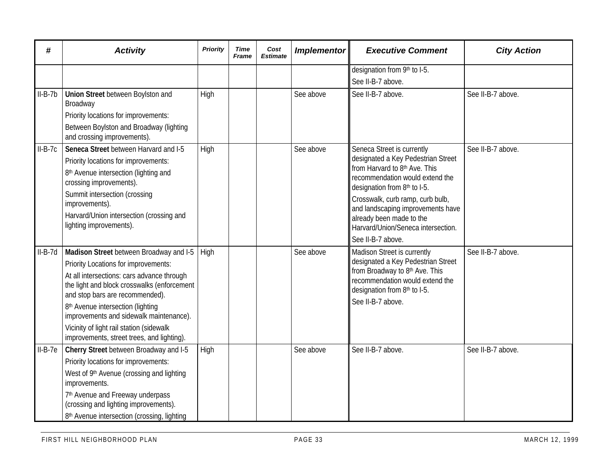| #         | <b>Activity</b>                                                                | Priority | Time<br><b>Frame</b> | Cost<br><b>Estimate</b> | <b>Implementor</b> | <b>Executive Comment</b>                                             | <b>City Action</b> |
|-----------|--------------------------------------------------------------------------------|----------|----------------------|-------------------------|--------------------|----------------------------------------------------------------------|--------------------|
|           |                                                                                |          |                      |                         |                    | designation from 9th to I-5.                                         |                    |
|           |                                                                                |          |                      |                         |                    | See II-B-7 above.                                                    |                    |
| $II-B-7b$ | Union Street between Boylston and<br>Broadway                                  | High     |                      |                         | See above          | See II-B-7 above.                                                    | See II-B-7 above.  |
|           | Priority locations for improvements:                                           |          |                      |                         |                    |                                                                      |                    |
|           | Between Boylston and Broadway (lighting<br>and crossing improvements).         |          |                      |                         |                    |                                                                      |                    |
| $II-B-7c$ | Seneca Street between Harvard and I-5                                          | High     |                      |                         | See above          | Seneca Street is currently                                           | See II-B-7 above.  |
|           | Priority locations for improvements:                                           |          |                      |                         |                    | designated a Key Pedestrian Street<br>from Harvard to 8th Ave. This  |                    |
|           | 8 <sup>th</sup> Avenue intersection (lighting and<br>crossing improvements).   |          |                      |                         |                    | recommendation would extend the<br>designation from 8th to I-5.      |                    |
|           | Summit intersection (crossing                                                  |          |                      |                         |                    | Crosswalk, curb ramp, curb bulb,                                     |                    |
|           | improvements).                                                                 |          |                      |                         |                    | and landscaping improvements have                                    |                    |
|           | Harvard/Union intersection (crossing and<br>lighting improvements).            |          |                      |                         |                    | already been made to the<br>Harvard/Union/Seneca intersection.       |                    |
|           |                                                                                |          |                      |                         |                    | See II-B-7 above.                                                    |                    |
| $II-B-7d$ | Madison Street between Broadway and I-5                                        | High     |                      |                         | See above          | Madison Street is currently                                          | See II-B-7 above.  |
|           | Priority Locations for improvements:                                           |          |                      |                         |                    | designated a Key Pedestrian Street<br>from Broadway to 8th Ave. This |                    |
|           | At all intersections: cars advance through                                     |          |                      |                         |                    | recommendation would extend the                                      |                    |
|           | the light and block crosswalks (enforcement<br>and stop bars are recommended). |          |                      |                         |                    | designation from 8th to I-5.                                         |                    |
|           | 8 <sup>th</sup> Avenue intersection (lighting                                  |          |                      |                         |                    | See II-B-7 above.                                                    |                    |
|           | improvements and sidewalk maintenance).                                        |          |                      |                         |                    |                                                                      |                    |
|           | Vicinity of light rail station (sidewalk                                       |          |                      |                         |                    |                                                                      |                    |
|           | improvements, street trees, and lighting).                                     |          |                      |                         |                    |                                                                      |                    |
| $II-B-7e$ | Cherry Street between Broadway and I-5                                         | High     |                      |                         | See above          | See II-B-7 above.                                                    | See II-B-7 above.  |
|           | Priority locations for improvements:                                           |          |                      |                         |                    |                                                                      |                    |
|           | West of 9th Avenue (crossing and lighting<br>improvements.                     |          |                      |                         |                    |                                                                      |                    |
|           | 7th Avenue and Freeway underpass<br>(crossing and lighting improvements).      |          |                      |                         |                    |                                                                      |                    |
|           | 8 <sup>th</sup> Avenue intersection (crossing, lighting                        |          |                      |                         |                    |                                                                      |                    |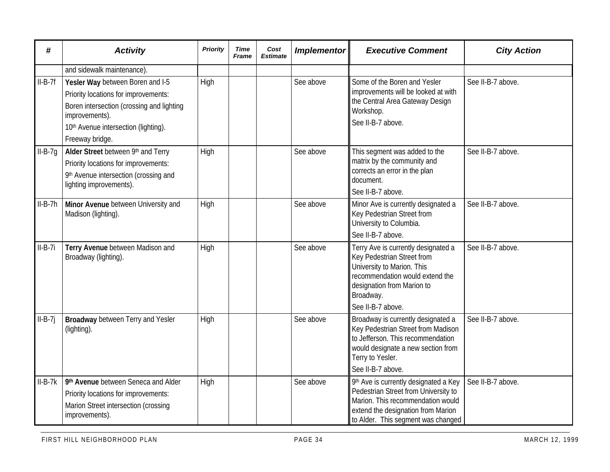| #         | <b>Activity</b>                                                                                                                                                                                    | Priority | <b>Time</b><br><b>Frame</b> | Cost<br><b>Estimate</b> | <b>Implementor</b> | <b>Executive Comment</b>                                                                                                                                                                           | <b>City Action</b> |
|-----------|----------------------------------------------------------------------------------------------------------------------------------------------------------------------------------------------------|----------|-----------------------------|-------------------------|--------------------|----------------------------------------------------------------------------------------------------------------------------------------------------------------------------------------------------|--------------------|
|           | and sidewalk maintenance).                                                                                                                                                                         |          |                             |                         |                    |                                                                                                                                                                                                    |                    |
| $II-B-7f$ | Yesler Way between Boren and I-5<br>Priority locations for improvements:<br>Boren intersection (crossing and lighting<br>improvements).<br>10th Avenue intersection (lighting).<br>Freeway bridge. | High     |                             |                         | See above          | Some of the Boren and Yesler<br>improvements will be looked at with<br>the Central Area Gateway Design<br>Workshop.<br>See II-B-7 above.                                                           | See II-B-7 above.  |
| $II-B-7g$ | Alder Street between 9th and Terry<br>Priority locations for improvements:<br>9th Avenue intersection (crossing and<br>lighting improvements).                                                     | High     |                             |                         | See above          | This segment was added to the<br>matrix by the community and<br>corrects an error in the plan<br>document.<br>See II-B-7 above.                                                                    | See II-B-7 above.  |
| $II-B-7h$ | Minor Avenue between University and<br>Madison (lighting).                                                                                                                                         | High     |                             |                         | See above          | Minor Ave is currently designated a<br>Key Pedestrian Street from<br>University to Columbia.<br>See II-B-7 above.                                                                                  | See II-B-7 above.  |
| $II-B-7i$ | Terry Avenue between Madison and<br>Broadway (lighting).                                                                                                                                           | High     |                             |                         | See above          | Terry Ave is currently designated a<br>Key Pedestrian Street from<br>University to Marion. This<br>recommendation would extend the<br>designation from Marion to<br>Broadway.<br>See II-B-7 above. | See II-B-7 above.  |
| $II-B-7i$ | <b>Broadway</b> between Terry and Yesler<br>(lighting).                                                                                                                                            | High     |                             |                         | See above          | Broadway is currently designated a<br>Key Pedestrian Street from Madison<br>to Jefferson. This recommendation<br>would designate a new section from<br>Terry to Yesler.<br>See II-B-7 above.       | See II-B-7 above.  |
| $II-B-7k$ | 9th Avenue between Seneca and Alder<br>Priority locations for improvements:<br>Marion Street intersection (crossing<br>improvements).                                                              | High     |                             |                         | See above          | 9th Ave is currently designated a Key<br>Pedestrian Street from University to<br>Marion. This recommendation would<br>extend the designation from Marion<br>to Alder. This segment was changed     | See II-B-7 above.  |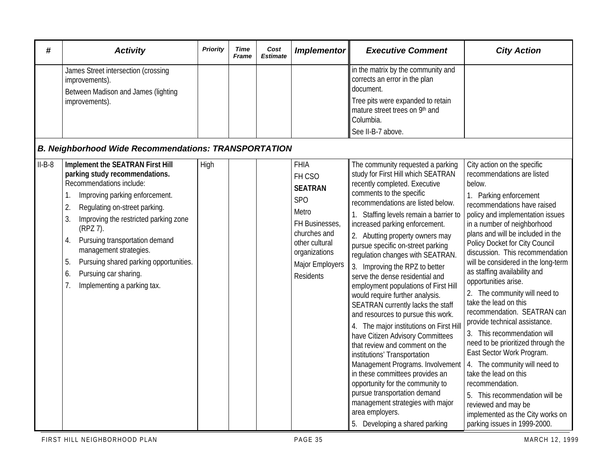| #        | <b>Activity</b>                                                                                                                                                                                                                                                                                                                                                                                                              | <b>Priority</b> | Time<br><b>Frame</b> | Cost<br><b>Estimate</b> | <b>Implementor</b>                                                                                                                                                         | <b>Executive Comment</b>                                                                                                                                                                                                                                                                                                                                                                                                                                                                                                                                                                                                                                                                                                                                                                                                                                                                                                                                                          | <b>City Action</b>                                                                                                                                                                                                                                                                                                                                                                                                                                                                                                                                                                                                                                                                                                                                                                                                                             |
|----------|------------------------------------------------------------------------------------------------------------------------------------------------------------------------------------------------------------------------------------------------------------------------------------------------------------------------------------------------------------------------------------------------------------------------------|-----------------|----------------------|-------------------------|----------------------------------------------------------------------------------------------------------------------------------------------------------------------------|-----------------------------------------------------------------------------------------------------------------------------------------------------------------------------------------------------------------------------------------------------------------------------------------------------------------------------------------------------------------------------------------------------------------------------------------------------------------------------------------------------------------------------------------------------------------------------------------------------------------------------------------------------------------------------------------------------------------------------------------------------------------------------------------------------------------------------------------------------------------------------------------------------------------------------------------------------------------------------------|------------------------------------------------------------------------------------------------------------------------------------------------------------------------------------------------------------------------------------------------------------------------------------------------------------------------------------------------------------------------------------------------------------------------------------------------------------------------------------------------------------------------------------------------------------------------------------------------------------------------------------------------------------------------------------------------------------------------------------------------------------------------------------------------------------------------------------------------|
|          | James Street intersection (crossing<br>improvements).<br>Between Madison and James (lighting<br>improvements).<br><b>B. Neighborhood Wide Recommendations: TRANSPORTATION</b>                                                                                                                                                                                                                                                |                 |                      |                         |                                                                                                                                                                            | in the matrix by the community and<br>corrects an error in the plan<br>document.<br>Tree pits were expanded to retain<br>mature street trees on 9th and<br>Columbia.<br>See II-B-7 above.                                                                                                                                                                                                                                                                                                                                                                                                                                                                                                                                                                                                                                                                                                                                                                                         |                                                                                                                                                                                                                                                                                                                                                                                                                                                                                                                                                                                                                                                                                                                                                                                                                                                |
| $II-B-8$ | Implement the SEATRAN First Hill<br>parking study recommendations.<br>Recommendations include:<br>Improving parking enforcement.<br>Regulating on-street parking.<br>$\mathbf{2}$<br>3.<br>Improving the restricted parking zone<br>(RPZ 7).<br>Pursuing transportation demand<br>4.<br>management strategies.<br>Pursuing shared parking opportunities.<br>5.<br>Pursuing car sharing.<br>6.<br>Implementing a parking tax. | High            |                      |                         | <b>FHIA</b><br>FH CSO<br><b>SEATRAN</b><br><b>SPO</b><br>Metro<br>FH Businesses,<br>churches and<br>other cultural<br>organizations<br>Major Employers<br><b>Residents</b> | The community requested a parking<br>study for First Hill which SEATRAN<br>recently completed. Executive<br>comments to the specific<br>recommendations are listed below.<br>1. Staffing levels remain a barrier to<br>increased parking enforcement.<br>2. Abutting property owners may<br>pursue specific on-street parking<br>regulation changes with SEATRAN.<br>3. Improving the RPZ to better<br>serve the dense residential and<br>employment populations of First Hill<br>would require further analysis.<br>SEATRAN currently lacks the staff<br>and resources to pursue this work.<br>4. The major institutions on First Hill<br>have Citizen Advisory Committees<br>that review and comment on the<br>institutions' Transportation<br>Management Programs. Involvement<br>in these committees provides an<br>opportunity for the community to<br>pursue transportation demand<br>management strategies with major<br>area employers.<br>5. Developing a shared parking | City action on the specific<br>recommendations are listed<br>below.<br>1. Parking enforcement<br>recommendations have raised<br>policy and implementation issues<br>in a number of neighborhood<br>plans and will be included in the<br>Policy Docket for City Council<br>discussion. This recommendation<br>will be considered in the long-term<br>as staffing availability and<br>opportunities arise.<br>2. The community will need to<br>take the lead on this<br>recommendation. SEATRAN can<br>provide technical assistance.<br>3. This recommendation will<br>need to be prioritized through the<br>East Sector Work Program.<br>4. The community will need to<br>take the lead on this<br>recommendation.<br>5. This recommendation will be<br>reviewed and may be<br>implemented as the City works on<br>parking issues in 1999-2000. |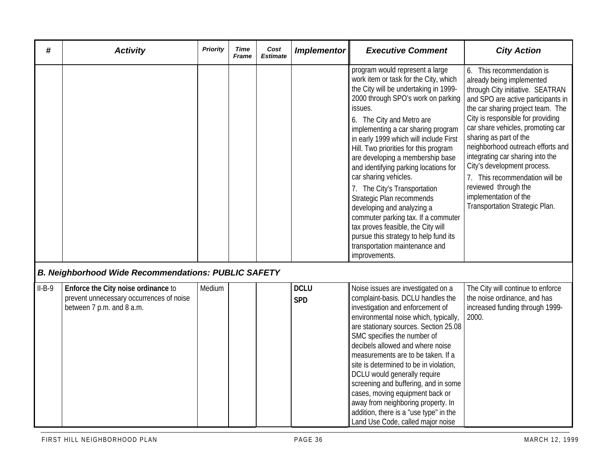| #        | <b>Activity</b>                                                                                              | <b>Priority</b> | Time<br>Frame | Cost<br><b>Estimate</b> | <b>Implementor</b>        | <b>Executive Comment</b>                                                                                                                                                                                                                                                                                                                                                                                                                                                                                                                                                                                                                                                                           | <b>City Action</b>                                                                                                                                                                                                                                                                                                                                                                                                                                                                                     |
|----------|--------------------------------------------------------------------------------------------------------------|-----------------|---------------|-------------------------|---------------------------|----------------------------------------------------------------------------------------------------------------------------------------------------------------------------------------------------------------------------------------------------------------------------------------------------------------------------------------------------------------------------------------------------------------------------------------------------------------------------------------------------------------------------------------------------------------------------------------------------------------------------------------------------------------------------------------------------|--------------------------------------------------------------------------------------------------------------------------------------------------------------------------------------------------------------------------------------------------------------------------------------------------------------------------------------------------------------------------------------------------------------------------------------------------------------------------------------------------------|
|          |                                                                                                              |                 |               |                         |                           | program would represent a large<br>work item or task for the City, which<br>the City will be undertaking in 1999-<br>2000 through SPO's work on parking<br>issues.<br>6. The City and Metro are<br>implementing a car sharing program<br>in early 1999 which will include First<br>Hill. Two priorities for this program<br>are developing a membership base<br>and identifying parking locations for<br>car sharing vehicles.<br>7. The City's Transportation<br>Strategic Plan recommends<br>developing and analyzing a<br>commuter parking tax. If a commuter<br>tax proves feasible, the City will<br>pursue this strategy to help fund its<br>transportation maintenance and<br>improvements. | 6. This recommendation is<br>already being implemented<br>through City initiative. SEATRAN<br>and SPO are active participants in<br>the car sharing project team. The<br>City is responsible for providing<br>car share vehicles, promoting car<br>sharing as part of the<br>neighborhood outreach efforts and<br>integrating car sharing into the<br>City's development process.<br>7. This recommendation will be<br>reviewed through the<br>implementation of the<br>Transportation Strategic Plan. |
|          | <b>B. Neighborhood Wide Recommendations: PUBLIC SAFETY</b>                                                   |                 |               |                         |                           |                                                                                                                                                                                                                                                                                                                                                                                                                                                                                                                                                                                                                                                                                                    |                                                                                                                                                                                                                                                                                                                                                                                                                                                                                                        |
| $II-B-9$ | Enforce the City noise ordinance to<br>prevent unnecessary occurrences of noise<br>between 7 p.m. and 8 a.m. | Medium          |               |                         | <b>DCLU</b><br><b>SPD</b> | Noise issues are investigated on a<br>complaint-basis. DCLU handles the<br>investigation and enforcement of<br>environmental noise which, typically,<br>are stationary sources. Section 25.08<br>SMC specifies the number of<br>decibels allowed and where noise<br>measurements are to be taken. If a<br>site is determined to be in violation,<br>DCLU would generally require<br>screening and buffering, and in some<br>cases, moving equipment back or<br>away from neighboring property. In<br>addition, there is a "use type" in the<br>Land Use Code, called major noise                                                                                                                   | The City will continue to enforce<br>the noise ordinance, and has<br>increased funding through 1999-<br>2000.                                                                                                                                                                                                                                                                                                                                                                                          |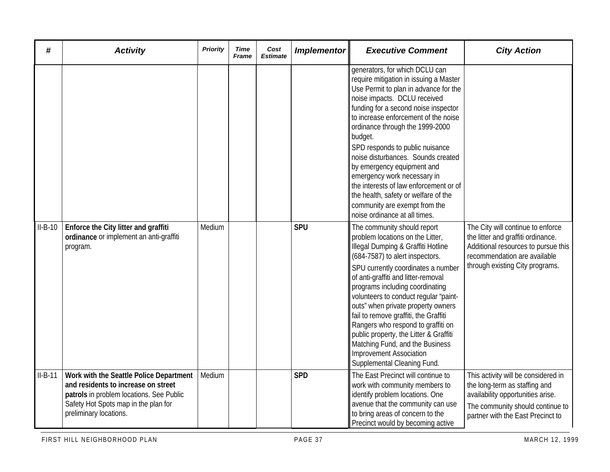| #         | <b>Activity</b>                                                                                                                                                                              | <b>Priority</b> | Time<br>Frame | Cost<br><b>Estimate</b> | <b>Implementor</b> | <b>Executive Comment</b>                                                                                                                                                                                                                                                                                                                                                                                                                                                                                                                                                  | <b>City Action</b>                                                                                                                                                                 |
|-----------|----------------------------------------------------------------------------------------------------------------------------------------------------------------------------------------------|-----------------|---------------|-------------------------|--------------------|---------------------------------------------------------------------------------------------------------------------------------------------------------------------------------------------------------------------------------------------------------------------------------------------------------------------------------------------------------------------------------------------------------------------------------------------------------------------------------------------------------------------------------------------------------------------------|------------------------------------------------------------------------------------------------------------------------------------------------------------------------------------|
|           |                                                                                                                                                                                              |                 |               |                         |                    | generators, for which DCLU can<br>require mitigation in issuing a Master<br>Use Permit to plan in advance for the<br>noise impacts. DCLU received<br>funding for a second noise inspector<br>to increase enforcement of the noise<br>ordinance through the 1999-2000<br>budget.<br>SPD responds to public nuisance<br>noise disturbances. Sounds created<br>by emergency equipment and<br>emergency work necessary in<br>the interests of law enforcement or of<br>the health, safety or welfare of the<br>community are exempt from the<br>noise ordinance at all times. |                                                                                                                                                                                    |
| $II-B-10$ | Enforce the City litter and graffiti<br>ordinance or implement an anti-graffiti<br>program.                                                                                                  | Medium          |               |                         | <b>SPU</b>         | The community should report<br>problem locations on the Litter,<br>Illegal Dumping & Graffiti Hotline<br>(684-7587) to alert inspectors.<br>SPU currently coordinates a number<br>of anti-graffiti and litter-removal<br>programs including coordinating<br>volunteers to conduct regular "paint-<br>outs" when private property owners<br>fail to remove graffiti, the Graffiti<br>Rangers who respond to graffiti on<br>public property, the Litter & Graffiti<br>Matching Fund, and the Business<br><b>Improvement Association</b><br>Supplemental Cleaning Fund.      | The City will continue to enforce<br>the litter and graffiti ordinance.<br>Additional resources to pursue this<br>recommendation are available<br>through existing City programs.  |
| $II-B-11$ | Work with the Seattle Police Department<br>and residents to increase on street<br>patrols in problem locations. See Public<br>Safety Hot Spots map in the plan for<br>preliminary locations. | Medium          |               |                         | <b>SPD</b>         | The East Precinct will continue to<br>work with community members to<br>identify problem locations. One<br>avenue that the community can use<br>to bring areas of concern to the<br>Precinct would by becoming active                                                                                                                                                                                                                                                                                                                                                     | This activity will be considered in<br>the long-term as staffing and<br>availability opportunities arise.<br>The community should continue to<br>partner with the East Precinct to |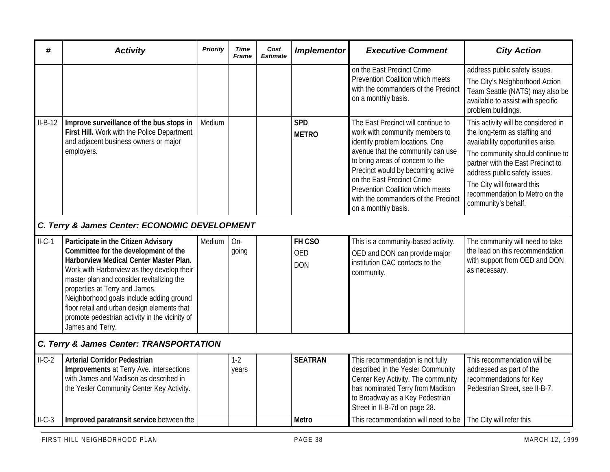| #         | <b>Activity</b>                                                                                                                                                                                                                                                                                                                                                                                                     | Priority | <b>Time</b><br><b>Frame</b> | Cost<br><b>Estimate</b> | <b>Implementor</b>                 | <b>Executive Comment</b>                                                                                                                                                                                                                                                                                                                              | <b>City Action</b>                                                                                                                                                                                                                                                                                         |  |  |  |  |
|-----------|---------------------------------------------------------------------------------------------------------------------------------------------------------------------------------------------------------------------------------------------------------------------------------------------------------------------------------------------------------------------------------------------------------------------|----------|-----------------------------|-------------------------|------------------------------------|-------------------------------------------------------------------------------------------------------------------------------------------------------------------------------------------------------------------------------------------------------------------------------------------------------------------------------------------------------|------------------------------------------------------------------------------------------------------------------------------------------------------------------------------------------------------------------------------------------------------------------------------------------------------------|--|--|--|--|
|           |                                                                                                                                                                                                                                                                                                                                                                                                                     |          |                             |                         |                                    | on the East Precinct Crime<br><b>Prevention Coalition which meets</b><br>with the commanders of the Precinct<br>on a monthly basis.                                                                                                                                                                                                                   | address public safety issues.<br>The City's Neighborhood Action<br>Team Seattle (NATS) may also be<br>available to assist with specific<br>problem buildings.                                                                                                                                              |  |  |  |  |
| $II-B-12$ | Improve surveillance of the bus stops in<br>First Hill. Work with the Police Department<br>and adjacent business owners or major<br>employers.                                                                                                                                                                                                                                                                      | Medium   |                             |                         | <b>SPD</b><br><b>METRO</b>         | The East Precinct will continue to<br>work with community members to<br>identify problem locations. One<br>avenue that the community can use<br>to bring areas of concern to the<br>Precinct would by becoming active<br>on the East Precinct Crime<br>Prevention Coalition which meets<br>with the commanders of the Precinct<br>on a monthly basis. | This activity will be considered in<br>the long-term as staffing and<br>availability opportunities arise.<br>The community should continue to<br>partner with the East Precinct to<br>address public safety issues.<br>The City will forward this<br>recommendation to Metro on the<br>community's behalf. |  |  |  |  |
|           | C. Terry & James Center: ECONOMIC DEVELOPMENT                                                                                                                                                                                                                                                                                                                                                                       |          |                             |                         |                                    |                                                                                                                                                                                                                                                                                                                                                       |                                                                                                                                                                                                                                                                                                            |  |  |  |  |
| $II-C-1$  | Participate in the Citizen Advisory<br>Committee for the development of the<br>Harborview Medical Center Master Plan.<br>Work with Harborview as they develop their<br>master plan and consider revitalizing the<br>properties at Terry and James.<br>Neighborhood goals include adding ground<br>floor retail and urban design elements that<br>promote pedestrian activity in the vicinity of<br>James and Terry. | Medium   | On-<br>going                |                         | FH CSO<br><b>OED</b><br><b>DON</b> | This is a community-based activity.<br>OED and DON can provide major<br>institution CAC contacts to the<br>community.                                                                                                                                                                                                                                 | The community will need to take<br>the lead on this recommendation<br>with support from OED and DON<br>as necessary.                                                                                                                                                                                       |  |  |  |  |
|           | C. Terry & James Center: TRANSPORTATION                                                                                                                                                                                                                                                                                                                                                                             |          |                             |                         |                                    |                                                                                                                                                                                                                                                                                                                                                       |                                                                                                                                                                                                                                                                                                            |  |  |  |  |
| $II-C-2$  | <b>Arterial Corridor Pedestrian</b><br><b>Improvements</b> at Terry Ave. intersections<br>with James and Madison as described in<br>the Yesler Community Center Key Activity.                                                                                                                                                                                                                                       |          | $1-2$<br>years              |                         | <b>SEATRAN</b>                     | This recommendation is not fully<br>described in the Yesler Community<br>Center Key Activity. The community<br>has nominated Terry from Madison<br>to Broadway as a Key Pedestrian<br>Street in II-B-7d on page 28.                                                                                                                                   | This recommendation will be<br>addressed as part of the<br>recommendations for Key<br>Pedestrian Street, see II-B-7.                                                                                                                                                                                       |  |  |  |  |
| $ILC-3$   | Improved paratransit service between the                                                                                                                                                                                                                                                                                                                                                                            |          |                             |                         | <b>Metro</b>                       | This recommendation will need to be                                                                                                                                                                                                                                                                                                                   | The City will refer this                                                                                                                                                                                                                                                                                   |  |  |  |  |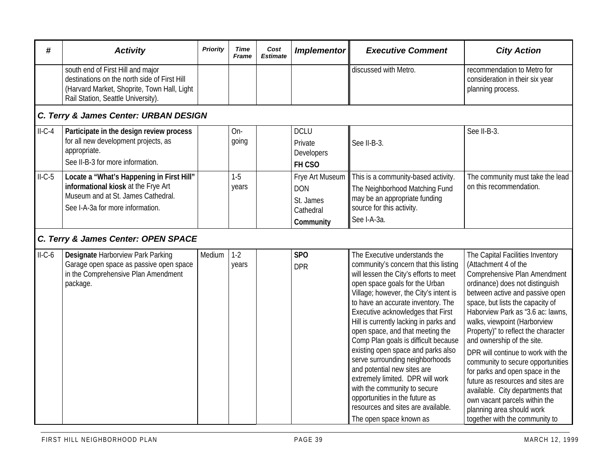| #                                     | <b>Activity</b>                                                                                                                                                        | Priority | Time<br>Frame  | Cost<br><b>Estimate</b> | <b>Implementor</b>                                                   | <b>Executive Comment</b>                                                                                                                                                                                                                                                                                                                                                                                                                                                                                                                                                                                                                                                     | <b>City Action</b>                                                                                                                                                                                                                                                                                                                                                                                                                                                                                                                                                                                                                  |  |  |  |
|---------------------------------------|------------------------------------------------------------------------------------------------------------------------------------------------------------------------|----------|----------------|-------------------------|----------------------------------------------------------------------|------------------------------------------------------------------------------------------------------------------------------------------------------------------------------------------------------------------------------------------------------------------------------------------------------------------------------------------------------------------------------------------------------------------------------------------------------------------------------------------------------------------------------------------------------------------------------------------------------------------------------------------------------------------------------|-------------------------------------------------------------------------------------------------------------------------------------------------------------------------------------------------------------------------------------------------------------------------------------------------------------------------------------------------------------------------------------------------------------------------------------------------------------------------------------------------------------------------------------------------------------------------------------------------------------------------------------|--|--|--|
|                                       | south end of First Hill and major<br>destinations on the north side of First Hill<br>(Harvard Market, Shoprite, Town Hall, Light<br>Rail Station, Seattle University). |          |                |                         |                                                                      | discussed with Metro.                                                                                                                                                                                                                                                                                                                                                                                                                                                                                                                                                                                                                                                        | recommendation to Metro for<br>consideration in their six year<br>planning process.                                                                                                                                                                                                                                                                                                                                                                                                                                                                                                                                                 |  |  |  |
| C. Terry & James Center: URBAN DESIGN |                                                                                                                                                                        |          |                |                         |                                                                      |                                                                                                                                                                                                                                                                                                                                                                                                                                                                                                                                                                                                                                                                              |                                                                                                                                                                                                                                                                                                                                                                                                                                                                                                                                                                                                                                     |  |  |  |
| $II-C-4$                              | Participate in the design review process<br>for all new development projects, as<br>appropriate.<br>See II-B-3 for more information.                                   |          | $On-$<br>going |                         | <b>DCLU</b><br>Private<br><b>Developers</b><br>FH CSO                | See II-B-3.                                                                                                                                                                                                                                                                                                                                                                                                                                                                                                                                                                                                                                                                  | See II-B-3.                                                                                                                                                                                                                                                                                                                                                                                                                                                                                                                                                                                                                         |  |  |  |
| $II-C-5$                              | Locate a "What's Happening in First Hill"<br>informational kiosk at the Frye Art<br>Museum and at St. James Cathedral.<br>See I-A-3a for more information.             |          | $1-5$<br>years |                         | Frye Art Museum<br><b>DON</b><br>St. James<br>Cathedral<br>Community | This is a community-based activity.<br>The Neighborhood Matching Fund<br>may be an appropriate funding<br>source for this activity.<br>See I-A-3a.                                                                                                                                                                                                                                                                                                                                                                                                                                                                                                                           | The community must take the lead<br>on this recommendation.                                                                                                                                                                                                                                                                                                                                                                                                                                                                                                                                                                         |  |  |  |
|                                       | C. Terry & James Center: OPEN SPACE                                                                                                                                    |          |                |                         |                                                                      |                                                                                                                                                                                                                                                                                                                                                                                                                                                                                                                                                                                                                                                                              |                                                                                                                                                                                                                                                                                                                                                                                                                                                                                                                                                                                                                                     |  |  |  |
| $ILC-6$                               | Designate Harborview Park Parking<br>Garage open space as passive open space<br>in the Comprehensive Plan Amendment<br>package.                                        | Medium   | $1-2$<br>years |                         | SP <sub>O</sub><br><b>DPR</b>                                        | The Executive understands the<br>community's concern that this listing<br>will lessen the City's efforts to meet<br>open space goals for the Urban<br>Village; however, the City's intent is<br>to have an accurate inventory. The<br>Executive acknowledges that First<br>Hill is currently lacking in parks and<br>open space, and that meeting the<br>Comp Plan goals is difficult because<br>existing open space and parks also<br>serve surrounding neighborhoods<br>and potential new sites are<br>extremely limited. DPR will work<br>with the community to secure<br>opportunities in the future as<br>resources and sites are available.<br>The open space known as | The Capital Facilities Inventory<br>(Attachment 4 of the<br>Comprehensive Plan Amendment<br>ordinance) does not distinguish<br>between active and passive open<br>space, but lists the capacity of<br>Haborview Park as "3.6 ac: lawns,<br>walks, viewpoint (Harborview<br>Property)" to reflect the character<br>and ownership of the site.<br>DPR will continue to work with the<br>community to secure opportunities<br>for parks and open space in the<br>future as resources and sites are<br>available. City departments that<br>own vacant parcels within the<br>planning area should work<br>together with the community to |  |  |  |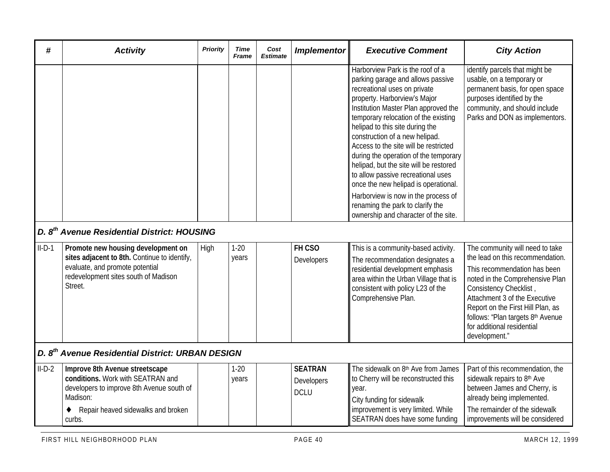| #        | <b>Activity</b>                                                                                                                                                              | Priority | Time<br>Frame     | Cost<br><b>Estimate</b> | <b>Implementor</b>                          | <b>Executive Comment</b>                                                                                                                                                                                                                                                                                                                                                                                                                                                                                                                                                                                                | <b>City Action</b>                                                                                                                                                                                                                                                                                                         |  |  |  |  |
|----------|------------------------------------------------------------------------------------------------------------------------------------------------------------------------------|----------|-------------------|-------------------------|---------------------------------------------|-------------------------------------------------------------------------------------------------------------------------------------------------------------------------------------------------------------------------------------------------------------------------------------------------------------------------------------------------------------------------------------------------------------------------------------------------------------------------------------------------------------------------------------------------------------------------------------------------------------------------|----------------------------------------------------------------------------------------------------------------------------------------------------------------------------------------------------------------------------------------------------------------------------------------------------------------------------|--|--|--|--|
|          | D. 8 <sup>th</sup> Avenue Residential District: HOUSING                                                                                                                      |          |                   |                         |                                             | Harborview Park is the roof of a<br>parking garage and allows passive<br>recreational uses on private<br>property. Harborview's Major<br>Institution Master Plan approved the<br>temporary relocation of the existing<br>helipad to this site during the<br>construction of a new helipad.<br>Access to the site will be restricted<br>during the operation of the temporary<br>helipad, but the site will be restored<br>to allow passive recreational uses<br>once the new helipad is operational.<br>Harborview is now in the process of<br>renaming the park to clarify the<br>ownership and character of the site. | identify parcels that might be<br>usable, on a temporary or<br>permanent basis, for open space<br>purposes identified by the<br>community, and should include<br>Parks and DON as implementors.                                                                                                                            |  |  |  |  |
| $II-D-1$ | Promote new housing development on<br>sites adjacent to 8th. Continue to identify,<br>evaluate, and promote potential<br>redevelopment sites south of Madison<br>Street.     | High     | $1 - 20$<br>years |                         | FH CSO<br>Developers                        | This is a community-based activity.<br>The recommendation designates a<br>residential development emphasis<br>area within the Urban Village that is<br>consistent with policy L23 of the<br>Comprehensive Plan.                                                                                                                                                                                                                                                                                                                                                                                                         | The community will need to take<br>the lead on this recommendation.<br>This recommendation has been<br>noted in the Comprehensive Plan<br>Consistency Checklist,<br>Attachment 3 of the Executive<br>Report on the First Hill Plan, as<br>follows: "Plan targets 8th Avenue<br>for additional residential<br>development." |  |  |  |  |
|          | D. 8 <sup>th</sup> Avenue Residential District: URBAN DESIGN                                                                                                                 |          |                   |                         |                                             |                                                                                                                                                                                                                                                                                                                                                                                                                                                                                                                                                                                                                         |                                                                                                                                                                                                                                                                                                                            |  |  |  |  |
| $II-D-2$ | Improve 8th Avenue streetscape<br>conditions. Work with SEATRAN and<br>developers to improve 8th Avenue south of<br>Madison:<br>Repair heaved sidewalks and broken<br>curbs. |          | $1 - 20$<br>years |                         | <b>SEATRAN</b><br>Developers<br><b>DCLU</b> | The sidewalk on 8 <sup>th</sup> Ave from James<br>to Cherry will be reconstructed this<br>year.<br>City funding for sidewalk<br>improvement is very limited. While<br>SEATRAN does have some funding                                                                                                                                                                                                                                                                                                                                                                                                                    | Part of this recommendation, the<br>sidewalk repairs to 8th Ave<br>between James and Cherry, is<br>already being implemented.<br>The remainder of the sidewalk<br>improvements will be considered                                                                                                                          |  |  |  |  |